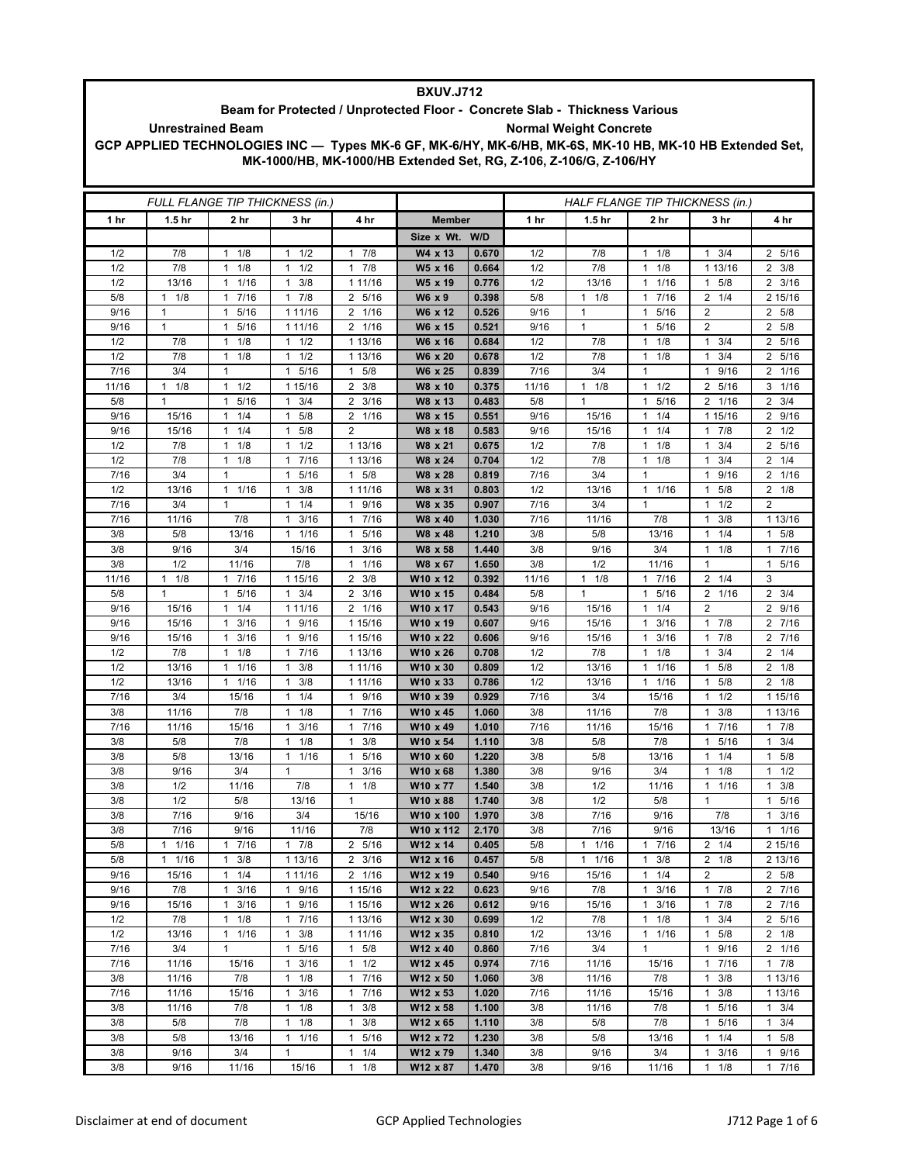| <b>BXUV.J712</b>                                                                                                                    |                                     |                                      |                                             |                                                 |                                                                   |                |              |                                 |                                              |                                         |                      |  |
|-------------------------------------------------------------------------------------------------------------------------------------|-------------------------------------|--------------------------------------|---------------------------------------------|-------------------------------------------------|-------------------------------------------------------------------|----------------|--------------|---------------------------------|----------------------------------------------|-----------------------------------------|----------------------|--|
| Beam for Protected / Unprotected Floor - Concrete Slab - Thickness Various<br><b>Normal Weight Concrete</b>                         |                                     |                                      |                                             |                                                 |                                                                   |                |              |                                 |                                              |                                         |                      |  |
| <b>Unrestrained Beam</b><br>GCP APPLIED TECHNOLOGIES INC - Types MK-6 GF, MK-6/HY, MK-6/HB, MK-6S, MK-10 HB, MK-10 HB Extended Set, |                                     |                                      |                                             |                                                 |                                                                   |                |              |                                 |                                              |                                         |                      |  |
|                                                                                                                                     |                                     |                                      |                                             |                                                 | MK-1000/HB, MK-1000/HB Extended Set, RG, Z-106, Z-106/G, Z-106/HY |                |              |                                 |                                              |                                         |                      |  |
|                                                                                                                                     |                                     |                                      |                                             |                                                 |                                                                   |                |              |                                 |                                              |                                         |                      |  |
|                                                                                                                                     |                                     |                                      |                                             |                                                 |                                                                   |                |              |                                 |                                              |                                         |                      |  |
|                                                                                                                                     |                                     |                                      | FULL FLANGE TIP THICKNESS (in.)             |                                                 |                                                                   |                |              | HALF FLANGE TIP THICKNESS (in.) |                                              |                                         |                      |  |
| 1 hr                                                                                                                                | 1.5 <sub>hr</sub>                   | 2 hr                                 | 3 hr                                        | 4 hr                                            | <b>Member</b>                                                     |                | 1 hr         | 1.5 <sub>hr</sub>               | 2 hr                                         | 3 hr                                    | 4 hr                 |  |
|                                                                                                                                     |                                     |                                      |                                             |                                                 | Size x Wt. W/D                                                    |                |              |                                 |                                              |                                         |                      |  |
| 1/2                                                                                                                                 | 7/8                                 | 1/8<br>$\mathbf{1}$                  | 1/2<br>1                                    | 7/8<br>$\mathbf{1}$                             | W4 x 13                                                           | 0.670          | 1/2          | 7/8                             | $\mathbf{1}$<br>1/8                          | 3/4<br>$\mathbf{1}$                     | 2 5/16               |  |
| 1/2                                                                                                                                 | 7/8                                 | 1/8<br>$\mathbf{1}$                  | $1 \t1/2$                                   | 7/8<br>$\mathbf{1}$                             | W5 x 16                                                           | 0.664          | 1/2          | 7/8                             | $\mathbf{1}$<br>1/8                          | 1 13/16                                 | $2 \frac{3}{8}$      |  |
| 1/2                                                                                                                                 | 13/16                               | 1/16<br>$\mathbf{1}$                 | 3/8<br>1                                    | 1 11/16                                         | W5 x 19                                                           | 0.776          | 1/2          | 13/16                           | 1/16<br>$\mathbf{1}$                         | 5/8<br>$\mathbf{1}$                     | $2 \frac{3}{16}$     |  |
| 5/8<br>9/16                                                                                                                         | $1 \t1/8$<br>$\mathbf{1}$           | 7/16<br>$\mathbf{1}$<br>$\mathbf{1}$ | 17/8<br>1 11/16                             | 5/16<br>$\overline{2}$<br>$2 \t1/16$            | W6 x 9<br>W6 x 12                                                 | 0.398<br>0.526 | 5/8<br>9/16  | $1 \t1/8$<br>$\mathbf{1}$       | 7/16<br>$\mathbf{1}$<br>5/16<br>$\mathbf{1}$ | $\overline{2}$<br>1/4<br>$\overline{2}$ | 2 15/16<br>2 5/8     |  |
| 9/16                                                                                                                                | 1                                   | 5/16<br>$1 \t5/16$                   | 1 11/16                                     | 2 1/16                                          | W6 x 15                                                           | 0.521          | 9/16         | $\mathbf{1}$                    | 5/16<br>$\mathbf{1}$                         | 2                                       | 2 5/8                |  |
| 1/2                                                                                                                                 | 7/8                                 | 1/8<br>1                             | $1 \t1/2$                                   | 1 13/16                                         | W6 x 16                                                           | 0.684          | 1/2          | 7/8                             | 1/8<br>$\mathbf{1}$                          | 3/4<br>$\mathbf 1$                      | 2 5/16               |  |
| 1/2                                                                                                                                 | 7/8                                 | 1/8<br>$\mathbf{1}$                  | $1 \t1/2$                                   | 1 13/16                                         | W6 x 20                                                           | 0.678          | 1/2          | 7/8                             | 1/8<br>$\mathbf{1}$                          | 3/4<br>$\mathbf{1}$                     | 2 5/16               |  |
| 7/16                                                                                                                                | 3/4                                 | $\mathbf{1}$                         | 1 5/16                                      | 5/8<br>$\mathbf{1}$                             | W6 x 25                                                           | 0.839          | 7/16         | 3/4                             | $\mathbf{1}$                                 | 1 9/16                                  | 2 1/16               |  |
| 11/16                                                                                                                               | $\mathbf{1}$<br>1/8                 | 1/2<br>$\mathbf{1}$                  | 1 15/16                                     | 2<br>3/8                                        | W8 x 10                                                           | 0.375          | 11/16        | $1 \t1/8$                       | 1/2<br>$\mathbf{1}$                          | 2 5/16                                  | $3 \t1/16$           |  |
| 5/8                                                                                                                                 | $\mathbf{1}$                        | 5/16<br>$\mathbf{1}$                 | $1 \t3/4$                                   | $\overline{2}$<br>3/16                          | W8 x 13                                                           | 0.483          | 5/8          | $\mathbf{1}$                    | $\mathbf{1}$<br>5/16                         | 2 1/16                                  | $2 \frac{3}{4}$      |  |
| 9/16                                                                                                                                | 15/16                               | 11/4                                 | $\mathbf{1}$<br>5/8                         | 2 1/16                                          | W8 x 15                                                           | 0.551          | 9/16         | 15/16                           | 1/4<br>$\mathbf{1}$                          | 1 15/16                                 | 2 9/16               |  |
| 9/16<br>1/2                                                                                                                         | 15/16<br>7/8                        | 1/4<br>$\mathbf{1}$<br>1             | 5/8<br>1<br>1/2<br>$\mathbf{1}$             | $\overline{2}$<br>1 13/16                       | W8 x 18                                                           | 0.583          | 9/16         | 15/16                           | 1/4<br>$\mathbf{1}$<br>1/8<br>$\mathbf{1}$   | 7/8<br>$\mathbf{1}$<br>3/4<br>1         | $2 \frac{1}{2}$      |  |
| 1/2                                                                                                                                 | 7/8                                 | 1/8<br>$\mathbf{1}$<br>1/8           | 7/16<br>$\mathbf{1}$                        | 1 13/16                                         | W8 x 21<br>W8 x 24                                                | 0.675<br>0.704 | 1/2<br>1/2   | 7/8<br>7/8                      | $\mathbf{1}$<br>1/8                          | 3/4<br>1                                | 2 5/16<br>$2 \t1/4$  |  |
| 7/16                                                                                                                                | 3/4                                 | $\mathbf{1}$                         | 5/16<br>$\mathbf{1}$                        | 5/8<br>$\mathbf{1}$                             | W8 x 28                                                           | 0.819          | 7/16         | 3/4                             | $\mathbf{1}$                                 | 9/16<br>$\mathbf{1}$                    | 2 1/16               |  |
| 1/2                                                                                                                                 | 13/16                               | 1/16<br>$\mathbf{1}$                 | 3/8<br>$\mathbf{1}$                         | 1 11/16                                         | W8 x 31                                                           | 0.803          | 1/2          | 13/16                           | $\mathbf{1}$<br>1/16                         | 5/8<br>1                                | $2 \t1/8$            |  |
| 7/16                                                                                                                                | 3/4                                 | $\mathbf{1}$                         | $\mathbf{1}$<br>1/4                         | $\mathbf{1}$<br>9/16                            | W8 x 35                                                           | 0.907          | 7/16         | 3/4                             | $\mathbf{1}$                                 | 1/2<br>1                                | $\overline{2}$       |  |
| 7/16                                                                                                                                | 11/16                               | 7/8                                  | 3/16<br>$\mathbf{1}$                        | 7/16<br>$\mathbf{1}$                            | W8 x 40                                                           | 1.030          | 7/16         | 11/16                           | 7/8                                          | 3/8<br>1                                | 1 13/16              |  |
| 3/8                                                                                                                                 | 5/8                                 | 13/16                                | $1 \t1/16$                                  | 5/16<br>1                                       | W8 x 48                                                           | 1.210          | 3/8          | 5/8                             | 13/16                                        | 1/4<br>$\mathbf{1}$                     | 1 5/8                |  |
| 3/8                                                                                                                                 | 9/16                                | 3/4                                  | 15/16                                       | 3/16<br>1                                       | W8 x 58                                                           | 1.440          | 3/8          | 9/16                            | 3/4                                          | $1 \t1/8$                               | 1 7/16               |  |
| 3/8                                                                                                                                 | 1/2                                 | 11/16                                | 7/8                                         | 1/16<br>$\mathbf{1}$                            | W8 x 67                                                           | 1.650          | 3/8          | 1/2                             | 11/16                                        | $\mathbf{1}$                            | 1 5/16               |  |
| 11/16<br>5/8                                                                                                                        | $\mathbf{1}$<br>1/8<br>$\mathbf{1}$ | 17/16<br>5/16<br>$\mathbf{1}$        | 1 15/16<br>$1 \t3/4$                        | 3/8<br>$\overline{2}$<br>3/16<br>$\overline{2}$ | W10 x 12<br>W10 x 15                                              | 0.392<br>0.484 | 11/16<br>5/8 | $1 \t1/8$<br>$\mathbf{1}$       | $\mathbf{1}$<br>7/16<br>$\mathbf{1}$<br>5/16 | $2 \t1/4$<br>2 1/16                     | 3<br>$2 \frac{3}{4}$ |  |
| 9/16                                                                                                                                | 15/16                               | 1/4<br>$\mathbf{1}$                  | 1 11/16                                     | 2 1/16                                          | W10 x 17                                                          | 0.543          | 9/16         | 15/16                           | 1/4<br>$\mathbf{1}$                          | 2                                       | 2 9/16               |  |
| 9/16                                                                                                                                | 15/16                               | 3/16<br>$\mathbf{1}$                 | 9/16<br>$\mathbf{1}$                        | 1 15/16                                         | W10 x 19                                                          | 0.607          | 9/16         | 15/16                           | 3/16<br>1                                    | 7/8<br>$\overline{1}$                   | 2 7/16               |  |
| 9/16                                                                                                                                | 15/16                               | 3/16<br>$\mathbf{1}$                 | 1 9/16                                      | 1 15/16                                         | W10 x 22                                                          | 0.606          | 9/16         | 15/16                           | 3/16<br>$\mathbf{1}$                         | 7/8<br>$\mathbf{1}$                     | 2 7/16               |  |
| 1/2                                                                                                                                 | 7/8                                 | $1 \t1/8$                            | 17/16                                       | 1 13/16                                         | W10 x 26                                                          | 0.708          | 1/2          | 7/8                             | 1/8<br>1                                     | 3/4<br>1                                | $2 \t1/4$            |  |
| 1/2                                                                                                                                 | 13/16                               | 1/16<br>$\mathbf{1}$                 | 3/8<br>1                                    | 1 11/16                                         | W10 x 30                                                          | 0.809          | 1/2          | 13/16                           | 1/16<br>$\mathbf{1}$                         | 5/8<br>1                                | $2 \frac{1}{8}$      |  |
| 1/2                                                                                                                                 | 13/16                               | $1 \t1/16$                           | 3/8<br>$\mathbf{1}$                         | 1 11/16                                         | W10 x 33                                                          | 0.786          | 1/2          | 13/16                           | 1/16<br>$\mathbf{1}$                         | 5/8<br>$\mathbf{1}$                     | $2 \frac{1}{8}$      |  |
| 7/16                                                                                                                                | 3/4                                 | 15/16                                | $1 \t1/4$                                   | 9/16<br>1                                       | W10 x 39                                                          | 0.929          | 7/16         | 3/4                             | 15/16                                        | $1 \t1/2$<br>1                          | 1 15/16              |  |
| 3/8<br>7/16                                                                                                                         | 11/16<br>11/16                      | 7/8<br>15/16                         | 1/8<br>3/16<br>$\mathbf{1}$                 | 7/16<br>1<br>7/16<br>1                          | W10 x 45<br>W10 x 49                                              | 1.060<br>1.010 | 3/8<br>7/16  | 11/16<br>11/16                  | 7/8<br>15/16                                 | 3/8<br>7/16<br>1                        | 1 13/16<br>17/8      |  |
| 3/8                                                                                                                                 | 5/8                                 | 7/8                                  | 1/8<br>1                                    | 3/8<br>$\mathbf{1}$                             | W10 x 54                                                          | 1.110          | 3/8          | 5/8                             | 7/8                                          | 5/16<br>$\mathbf{1}$                    | $\mathbf{1}$<br>3/4  |  |
| 3/8                                                                                                                                 | 5/8                                 | 13/16                                | $1 \t1/16$                                  | 5/16<br>1                                       | W10 x 60                                                          | 1.220          | 3/8          | 5/8                             | 13/16                                        | $1 \t1/4$                               | $1 \t5/8$            |  |
| 3/8                                                                                                                                 | 9/16                                | 3/4                                  | $\mathbf{1}$                                | $\mathbf{1}$<br>3/16                            | W10 x 68                                                          | 1.380          | 3/8          | 9/16                            | 3/4                                          | $1 \t1/8$                               | $1 \t1/2$            |  |
| 3/8                                                                                                                                 | 1/2                                 | 11/16                                | 7/8                                         | 1/8<br>$\mathbf{1}$                             | W10 x 77                                                          | 1.540          | 3/8          | 1/2                             | 11/16                                        | 11/16                                   | $1 \t3/8$            |  |
| 3/8                                                                                                                                 | 1/2                                 | 5/8                                  | 13/16                                       | 1                                               | W10 x 88                                                          | 1.740          | 3/8          | 1/2                             | 5/8                                          | $\mathbf{1}$                            | 1 5/16               |  |
| 3/8                                                                                                                                 | 7/16                                | 9/16                                 | 3/4                                         | 15/16                                           | W10 x 100                                                         | 1.970          | 3/8          | 7/16                            | 9/16                                         | 7/8                                     | $1 \t3/16$           |  |
| 3/8<br>5/8                                                                                                                          | 7/16                                | 9/16<br>17/16                        | 11/16                                       | 7/8<br>2 5/16                                   | W10 x 112                                                         | 2.170<br>0.405 | 3/8<br>5/8   | 7/16<br>11/16                   | 9/16<br>7/16<br>$\mathbf{1}$                 | 13/16<br>$2 \t1/4$                      | 11/16                |  |
| 5/8                                                                                                                                 | $1 \t1/16$<br>1/16<br>$\mathbf{1}$  | 3/8<br>$\mathbf{1}$                  | $1 \t7/8$<br>1 13/16                        | $2 \frac{3}{16}$                                | W12 x 14<br>W12 x 16                                              | 0.457          | 5/8          | 11/16                           | 3/8<br>$\mathbf{1}$                          | $2 \t1/8$                               | 2 15/16<br>2 13/16   |  |
| 9/16                                                                                                                                | 15/16                               | 1/4<br>$\mathbf{1}$                  | 1 11/16                                     | 2 1/16                                          | W12 x 19                                                          | 0.540          | 9/16         | 15/16                           | 1/4<br>$\mathbf{1}$                          | $\overline{2}$                          | 2 5/8                |  |
| 9/16                                                                                                                                | 7/8                                 | 3/16<br>$\mathbf{1}$                 | 1 9/16                                      | 1 15/16                                         | W12 x 22                                                          | 0.623          | 9/16         | 7/8                             | 3/16<br>$\mathbf{1}$                         | $1 \t7/8$                               | 2 7/16               |  |
| 9/16                                                                                                                                | 15/16                               | 3/16<br>$\mathbf{1}$                 | 9/16<br>$\mathbf{1}$                        | 1 15/16                                         | W12 x 26                                                          | 0.612          | 9/16         | 15/16                           | 3/16<br>$\mathbf{1}$                         | $1 \t7/8$                               | 2 7/16               |  |
| 1/2                                                                                                                                 | 7/8                                 | $\mathbf{1}$<br>1/8                  | 17/16                                       | 1 13/16                                         | W12 x 30                                                          | 0.699          | 1/2          | 7/8                             | $\mathbf{1}$<br>1/8                          | 3/4<br>1                                | 2 5/16               |  |
| 1/2                                                                                                                                 | 13/16                               | 1/16<br>$\mathbf{1}$                 | 3/8<br>1                                    | 1 11/16                                         | W12 x 35                                                          | 0.810          | 1/2          | 13/16                           | 1/16<br>$\mathbf{1}$                         | 5/8<br>$\mathbf{1}$                     | $2 \t1/8$            |  |
| 7/16                                                                                                                                | 3/4                                 | $\mathbf{1}$                         | 1 5/16                                      | 5/8<br>$\mathbf{1}$                             | W12 x 40                                                          | 0.860          | 7/16         | 3/4                             | $\mathbf{1}$                                 | 1 9/16                                  | 2 1/16               |  |
| 7/16<br>3/8                                                                                                                         | 11/16<br>11/16                      | 15/16<br>7/8                         | 3/16<br>$\mathbf{1}$<br>1/8<br>$\mathbf{1}$ | 1/2<br>$\mathbf{1}$<br>7/16<br>$\mathbf{1}$     | W12 x 45<br>W12 x 50                                              | 0.974<br>1.060 | 7/16<br>3/8  | 11/16<br>11/16                  | 15/16<br>7/8                                 | 7/16<br>$\mathbf{1}$<br>3/8<br>1        | 17/8<br>1 13/16      |  |
| 7/16                                                                                                                                | 11/16                               | 15/16                                | 3/16<br>$\mathbf{1}$                        | 7/16<br>$\mathbf{1}$                            | W12 x 53                                                          | 1.020          | 7/16         | 11/16                           | 15/16                                        | 3/8<br>$\mathbf{1}$                     | 1 13/16              |  |
| 3/8                                                                                                                                 | 11/16                               | 7/8                                  | $1 \t1/8$                                   | $\mathbf{1}$<br>3/8                             | W12 x 58                                                          | 1.100          | 3/8          | 11/16                           | 7/8                                          | 1 5/16                                  | $1 \t3/4$            |  |
| 3/8                                                                                                                                 | 5/8                                 | 7/8                                  | $1 \t1/8$                                   | 3/8<br>1                                        | $W12 \times 65$                                                   | 1.110          | 3/8          | 5/8                             | 7/8                                          | 5/16<br>$\mathbf{1}$                    | $1 \t3/4$            |  |
| 3/8                                                                                                                                 | 5/8                                 | 13/16                                | 1/16<br>$\mathbf{1}$                        | 5/16<br>1                                       | W12 x 72                                                          | 1.230          | 3/8          | 5/8                             | 13/16                                        | 1/4<br>$\mathbf{1}$                     | $1 \t5/8$            |  |
| 3/8                                                                                                                                 | 9/16                                | 3/4                                  | $\mathbf{1}$                                | 1/4<br>$\mathbf{1}$                             | W12 x 79                                                          | 1.340          | 3/8          | 9/16                            | 3/4                                          | 3/16<br>$\mathbf{1}$                    | 1 9/16               |  |
| 3/8                                                                                                                                 | 9/16                                | 11/16                                | 15/16                                       | 1/8<br>$\mathbf{1}$                             | W12 x 87                                                          | 1.470          | 3/8          | 9/16                            | 11/16                                        | $1 \t1/8$                               | 17/16                |  |

Г

٦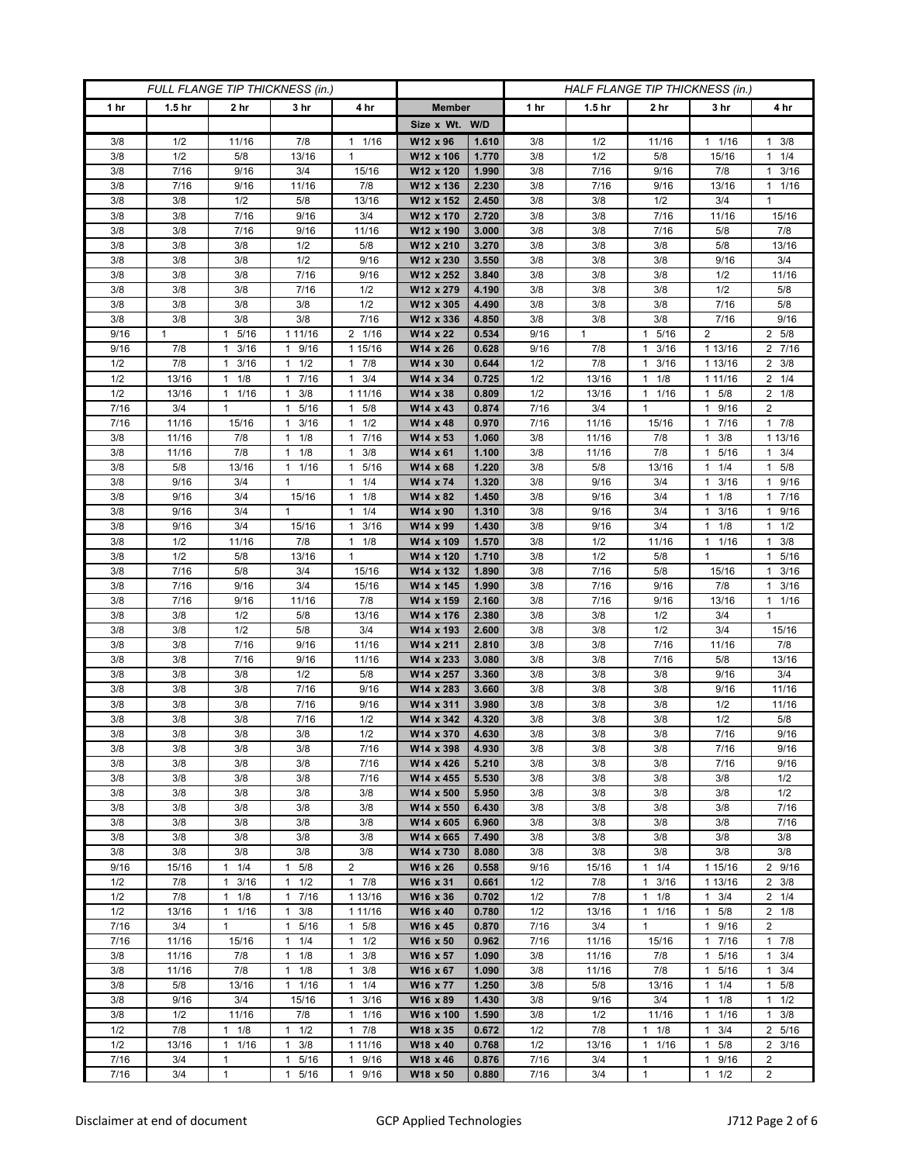| FULL FLANGE TIP THICKNESS (in.) |                   |                        |                                   |                                              | HALF FLANGE TIP THICKNESS (in.) |                |             |                   |                                   |                                     |                            |
|---------------------------------|-------------------|------------------------|-----------------------------------|----------------------------------------------|---------------------------------|----------------|-------------|-------------------|-----------------------------------|-------------------------------------|----------------------------|
| 1 hr                            | 1.5 <sub>hr</sub> | 2 <sub>hr</sub>        | 3 <sub>hr</sub>                   | 4 hr                                         | <b>Member</b>                   |                | 1 hr        | 1.5 <sub>hr</sub> | 2 <sub>hr</sub>                   | 3 hr                                | 4 hr                       |
|                                 |                   |                        |                                   |                                              | Size x Wt. W/D                  |                |             |                   |                                   |                                     |                            |
| 3/8                             | 1/2               | 11/16                  | 7/8                               | 1/16<br>1                                    | W12 x 96                        | 1.610          | 3/8         | 1/2               | 11/16                             | $1 \t1/16$                          | $1 \t3/8$                  |
| 3/8                             | 1/2               | 5/8                    | 13/16                             | $\mathbf{1}$                                 | W12 x 106                       | 1.770          | 3/8         | 1/2               | 5/8                               | 15/16                               | $1 \t1/4$                  |
| 3/8<br>3/8                      | 7/16<br>7/16      | 9/16<br>9/16           | 3/4<br>11/16                      | 15/16<br>7/8                                 | W12 x 120<br>W12 x 136          | 1.990<br>2.230 | 3/8<br>3/8  | 7/16<br>7/16      | 9/16<br>9/16                      | 7/8<br>13/16                        | $1 \t3/16$<br>$1 \t1/16$   |
| 3/8                             | 3/8               | 1/2                    | 5/8                               | 13/16                                        | W12 x 152                       | 2.450          | 3/8         | 3/8               | 1/2                               | 3/4                                 | $\mathbf{1}$               |
| 3/8                             | 3/8               | 7/16                   | 9/16                              | 3/4                                          | W12 x 170                       | 2.720          | 3/8         | 3/8               | 7/16                              | 11/16                               | 15/16                      |
| 3/8                             | 3/8               | 7/16                   | 9/16                              | 11/16                                        | W12 x 190                       | 3.000          | 3/8         | 3/8               | 7/16                              | 5/8                                 | 7/8                        |
| 3/8                             | 3/8               | 3/8                    | 1/2                               | 5/8                                          | W12 x 210                       | 3.270          | 3/8         | 3/8               | 3/8                               | 5/8                                 | 13/16                      |
| 3/8                             | 3/8               | 3/8                    | 1/2                               | 9/16                                         | W12 x 230                       | 3.550          | 3/8         | 3/8               | 3/8                               | 9/16                                | 3/4                        |
| 3/8                             | 3/8               | 3/8                    | 7/16                              | 9/16                                         | W12 x 252                       | 3.840          | 3/8         | 3/8               | 3/8                               | 1/2                                 | 11/16                      |
| 3/8                             | 3/8               | 3/8                    | 7/16                              | 1/2                                          | W12 x 279                       | 4.190          | 3/8         | 3/8               | 3/8                               | 1/2                                 | 5/8                        |
| 3/8<br>3/8                      | 3/8<br>3/8        | 3/8<br>3/8             | 3/8<br>3/8                        | 1/2<br>7/16                                  | W12 x 305                       | 4.490<br>4.850 | 3/8<br>3/8  | 3/8<br>3/8        | 3/8<br>3/8                        | 7/16<br>7/16                        | 5/8<br>9/16                |
| 9/16                            | $\mathbf{1}$      | 5/16<br>$\mathbf{1}$   | 1 11/16                           | 2 1/16                                       | W12 x 336<br>W14 x 22           | 0.534          | 9/16        | $\mathbf{1}$      | 5/16<br>$\mathbf{1}$              | 2                                   | 2 5/8                      |
| 9/16                            | 7/8               | 3/16<br>1              | 1 9/16                            | 1 15/16                                      | W14 x 26                        | 0.628          | 9/16        | 7/8               | 3/16<br>$\mathbf{1}$              | 1 13/16                             | 2 7/16                     |
| 1/2                             | 7/8               | 3/16<br>1              | $1 \t1/2$                         | 7/8<br>$\mathbf{1}$                          | W14 x 30                        | 0.644          | 1/2         | 7/8               | 3/16<br>$\mathbf{1}$              | 1 13/16                             | $2 \frac{3}{8}$            |
| 1/2                             | 13/16             | 1/8<br>1               | 7/16<br>$\mathbf{1}$              | 3/4<br>$\mathbf{1}$                          | W14 x 34                        | 0.725          | 1/2         | 13/16             | 1/8<br>$\mathbf{1}$               | 1 11/16                             | $2 \t1/4$                  |
| 1/2                             | 13/16             | $1 \t1/16$             | $1 \t3/8$                         | 1 1 1/16                                     | W14 x 38                        | 0.809          | 1/2         | 13/16             | $1 \t1/16$                        | $1 \t5/8$                           | $2 \t1/8$                  |
| 7/16                            | 3/4               | 1                      | 5/16<br>$\mathbf{1}$              | 5/8<br>1                                     | W14 x 43                        | 0.874          | 7/16        | 3/4               | $\mathbf{1}$                      | 1 9/16                              | 2                          |
| 7/16                            | 11/16             | 15/16                  | 3/16<br>1                         | 1/2<br>$\mathbf{1}$                          | W14 x 48                        | 0.970          | 7/16        | 11/16             | 15/16                             | 7/16<br>1                           | 17/8                       |
| 3/8                             | 11/16             | 7/8                    | $1 \t1/8$                         | 7/16<br>$\mathbf{1}$                         | W14 x 53                        | 1.060          | 3/8         | 11/16             | 7/8                               | 3/8<br>1                            | 1 13/16                    |
| 3/8<br>3/8                      | 11/16             | 7/8                    | $1 \t1/8$<br>1/16<br>1            | 3/8<br>1<br>1                                | W14 x 61                        | 1.100          | 3/8         | 11/16             | 7/8                               | 1 5/16                              | $1 \t3/4$<br>1             |
| 3/8                             | 5/8<br>9/16       | 13/16<br>3/4           | $\mathbf{1}$                      | 5/16<br>1/4<br>$\mathbf{1}$                  | W14 x 68<br>W14 x 74            | 1.220<br>1.320 | 3/8<br>3/8  | 5/8<br>9/16       | 13/16<br>3/4                      | 1/4<br>3/16<br>1                    | 5/8<br>1 9/16              |
| 3/8                             | 9/16              | 3/4                    | 15/16                             | 1/8<br>1                                     | W14 x 82                        | 1.450          | 3/8         | 9/16              | 3/4                               | $1 \t1/8$                           | 17/16                      |
| 3/8                             | 9/16              | 3/4                    | 1                                 | 1/4<br>$\mathbf{1}$                          | W14 x 90                        | 1.310          | 3/8         | 9/16              | 3/4                               | 3/16                                | 1 9/16                     |
| 3/8                             | 9/16              | 3/4                    | 15/16                             | 3/16<br>$\mathbf{1}$                         | W14 x 99                        | 1.430          | 3/8         | 9/16              | 3/4                               | 1/8<br>1                            | $1 \t1/2$                  |
| 3/8                             | 1/2               | 11/16                  | 7/8                               | 1/8<br>$\mathbf{1}$                          | W14 x 109                       | 1.570          | 3/8         | 1/2               | 11/16                             | 11/16                               | $1 \t3/8$                  |
| 3/8                             | 1/2               | 5/8                    | 13/16                             | $\mathbf{1}$                                 | W14 x 120                       | 1.710          | 3/8         | 1/2               | 5/8                               | 1                                   | 5/16<br>1                  |
| 3/8                             | 7/16              | 5/8                    | 3/4                               | 15/16                                        | W14 x 132                       | 1.890          | 3/8         | 7/16              | 5/8                               | 15/16                               | $1 \t3/16$                 |
| 3/8                             | 7/16              | 9/16                   | 3/4                               | 15/16                                        | W14 x 145                       | 1.990          | 3/8         | 7/16              | 9/16                              | 7/8                                 | $1 \t3/16$                 |
| 3/8<br>3/8                      | 7/16<br>3/8       | 9/16<br>1/2            | 11/16<br>5/8                      | 7/8<br>13/16                                 | W14 x 159<br>W14 x 176          | 2.160<br>2.380 | 3/8<br>3/8  | 7/16<br>3/8       | 9/16<br>1/2                       | 13/16<br>3/4                        | $1 \t1/16$<br>$\mathbf{1}$ |
| 3/8                             | 3/8               | 1/2                    | 5/8                               | 3/4                                          | W14 x 193                       | 2.600          | 3/8         | 3/8               | 1/2                               | 3/4                                 | 15/16                      |
| 3/8                             | 3/8               | 7/16                   | 9/16                              | 11/16                                        | W14 x 211                       | 2.810          | 3/8         | 3/8               | 7/16                              | 11/16                               | 7/8                        |
| 3/8                             | 3/8               | 7/16                   | 9/16                              | 11/16                                        | W14 x 233                       | 3.080          | 3/8         | 3/8               | 7/16                              | 5/8                                 | 13/16                      |
| 3/8                             | 3/8               | 3/8                    | 1/2                               | 5/8                                          | W14 x 257                       | 3.360          | 3/8         | 3/8               | 3/8                               | 9/16                                | 3/4                        |
| 3/8                             | 3/8               | 3/8                    | 7/16                              | 9/16                                         | W14 x 283                       | 3.660          | 3/8         | 3/8               | 3/8                               | 9/16                                | 11/16                      |
| 3/8                             | 3/8               | 3/8                    | 7/16                              | 9/16                                         | W14 x 311                       | 3.980          | 3/8         | 3/8               | 3/8                               | 1/2                                 | 11/16                      |
| 3/8                             | 3/8               | 3/8                    | 7/16                              | 1/2                                          | W14 x 342                       | 4.320          | 3/8         | 3/8               | 3/8                               | 1/2                                 | 5/8                        |
| 3/8<br>3/8                      | 3/8<br>3/8        | 3/8<br>3/8             | 3/8<br>3/8                        | 1/2<br>7/16                                  | W14 x 370<br>W14 x 398          | 4.630<br>4.930 | 3/8<br>3/8  | 3/8<br>3/8        | 3/8<br>3/8                        | 7/16<br>7/16                        | 9/16<br>9/16               |
| 3/8                             | 3/8               | 3/8                    | 3/8                               | 7/16                                         | W14 x 426                       | 5.210          | 3/8         | 3/8               | 3/8                               | 7/16                                | 9/16                       |
| 3/8                             | 3/8               | 3/8                    | 3/8                               | 7/16                                         | W14 x 455                       | 5.530          | 3/8         | 3/8               | 3/8                               | 3/8                                 | 1/2                        |
| 3/8                             | 3/8               | 3/8                    | 3/8                               | 3/8                                          | W14 x 500                       | 5.950          | 3/8         | 3/8               | 3/8                               | 3/8                                 | 1/2                        |
| 3/8                             | 3/8               | 3/8                    | 3/8                               | 3/8                                          | W14 x 550                       | 6.430          | 3/8         | 3/8               | 3/8                               | 3/8                                 | 7/16                       |
| 3/8                             | 3/8               | 3/8                    | 3/8                               | 3/8                                          | W14 x 605                       | 6.960          | 3/8         | 3/8               | 3/8                               | 3/8                                 | 7/16                       |
| 3/8                             | 3/8               | 3/8                    | 3/8                               | 3/8                                          | W14 x 665                       | 7.490          | 3/8         | 3/8               | 3/8                               | 3/8                                 | 3/8                        |
| 3/8                             | 3/8               | 3/8                    | 3/8                               | 3/8                                          | W14 x 730                       | 8.080          | 3/8         | 3/8               | 3/8                               | 3/8                                 | 3/8                        |
| 9/16<br>1/2                     | 15/16<br>7/8      | $1 \t1/4$<br>3/16<br>1 | 5/8<br>$\overline{1}$<br>1/2<br>1 | $\overline{2}$<br>$1 \t7/8$                  | W16 x 26<br>W16 x 31            | 0.558<br>0.661 | 9/16<br>1/2 | 15/16<br>7/8      | $1 \t1/4$<br>3/16<br>$\mathbf{1}$ | 1 15/16<br>1 13/16                  | 2 9/16<br>$2 \frac{3}{8}$  |
| 1/2                             | 7/8               | 1/8<br>1               | 17/16                             | 1 13/16                                      | W16 x 36                        | 0.702          | 1/2         | 7/8               | $\mathbf{1}$<br>1/8               | $1 \t3/4$                           | $2 \t1/4$                  |
| 1/2                             | 13/16             | 11/16                  | $1 \t3/8$                         | 1 11/16                                      | W16 x 40                        | 0.780          | 1/2         | 13/16             | 1/16<br>$\mathbf{1}$              | $1 \t5/8$                           | $2 \t1/8$                  |
| 7/16                            | 3/4               | 1                      | 5/16<br>$\mathbf{1}$              | 5/8<br>1                                     | W16 x 45                        | 0.870          | 7/16        | 3/4               | $\mathbf{1}$                      | 9/16<br>1                           | $\overline{2}$             |
| 7/16                            | 11/16             | 15/16                  | 1/4<br>$\mathbf{1}$               | $\mathbf{1}$<br>1/2                          | W16 x 50                        | 0.962          | 7/16        | 11/16             | 15/16                             | 7/16<br>1                           | 17/8                       |
| 3/8                             | 11/16             | 7/8                    | $\mathbf{1}$<br>1/8               | $\mathbf{1}$<br>3/8                          | W16 x 57                        | 1.090          | 3/8         | 11/16             | 7/8                               | 5/16<br>1                           | $1 \t3/4$                  |
| 3/8                             | 11/16             | 7/8                    | $1 \t1/8$                         | 3/8<br>$\mathbf{1}$                          | W16 x 67                        | 1.090          | 3/8         | 11/16             | 7/8                               | 5/16<br>$\mathbf{1}$                | $1 \t3/4$                  |
| 3/8                             | 5/8               | 13/16                  | 11/16                             | 1/4<br>$\mathbf{1}$                          | W16 x 77                        | 1.250          | 3/8         | 5/8               | 13/16                             | 1/4<br>1                            | 1 5/8                      |
| 3/8<br>3/8                      | 9/16<br>1/2       | 3/4<br>11/16           | 15/16<br>7/8                      | 3/16<br>$\mathbf{1}$<br>1/16<br>$\mathbf{1}$ | W16 x 89<br>W16 x 100           | 1.430<br>1.590 | 3/8<br>3/8  | 9/16<br>1/2       | 3/4<br>11/16                      | $1 \t1/8$<br>$1/16$<br>$\mathbf{1}$ | $1 \t1/2$<br>$1 \t3/8$     |
| 1/2                             | 7/8               | $1 \t1/8$              | 1/2<br>$\mathbf{1}$               | 7/8<br>$\mathbf{1}$                          | W18 x 35                        | 0.672          | 1/2         | 7/8               | 1/8<br>$\mathbf{1}$               | 3/4<br>1                            | 2 5/16                     |
| 1/2                             | 13/16             | 1<br>1/16              | 3/8<br>1                          | 1 11/16                                      | W18 x 40                        | 0.768          | 1/2         | 13/16             | $\mathbf{1}$<br>1/16              | 5/8                                 | $2 \frac{3}{16}$           |
| 7/16                            | 3/4               | 1                      | 5/16<br>$\mathbf{1}$              | 9/16<br>1                                    | W18 x 46                        | 0.876          | 7/16        | 3/4               | $\mathbf{1}$                      | 9/16<br>1                           | $\overline{2}$             |
| 7/16                            | 3/4               | $\mathbf{1}$           | 5/16<br>$\mathbf{1}$              | 9/16<br>$\mathbf{1}$                         | W18 x 50                        | 0.880          | 7/16        | 3/4               | $\mathbf{1}$                      | 1/2<br>$\mathbf{1}$                 | $\overline{2}$             |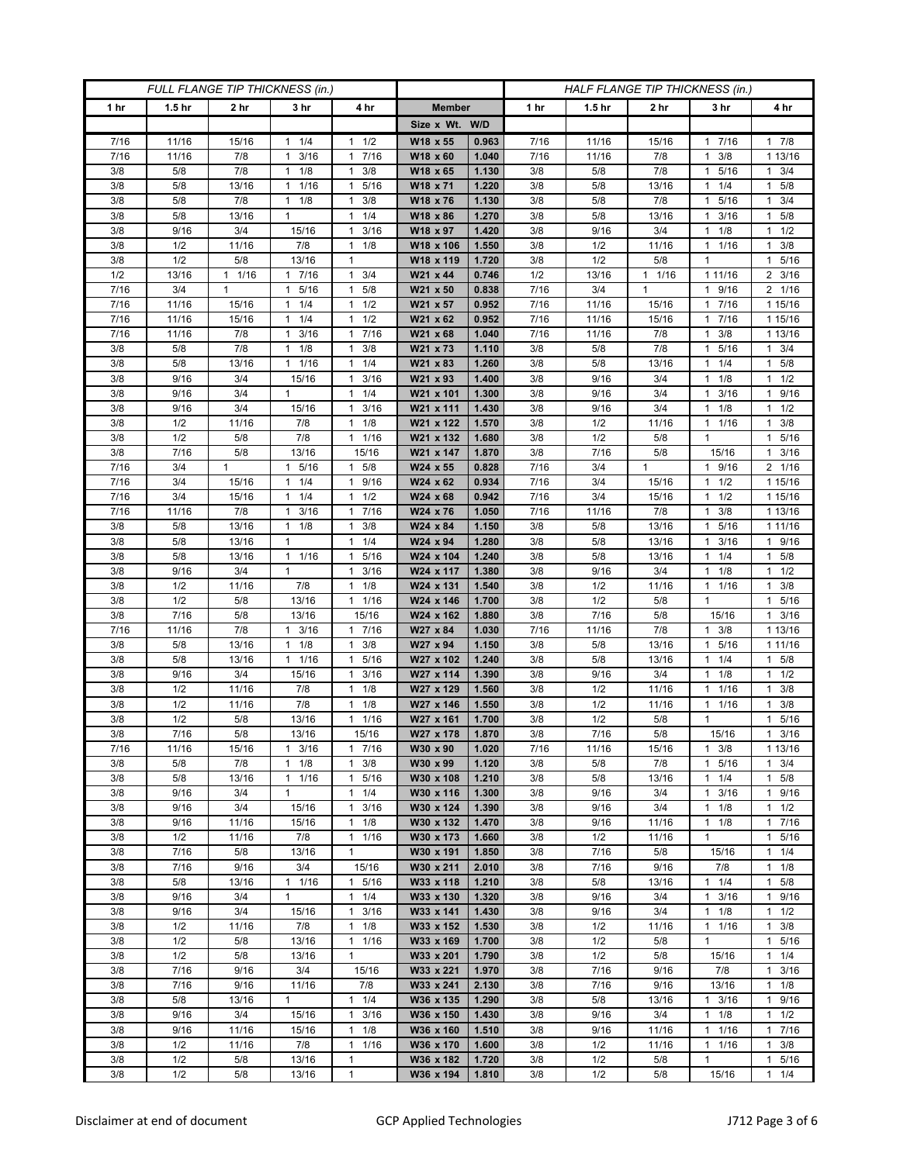| FULL FLANGE TIP THICKNESS (in.) |                   |                      |                        |                                             | HALF FLANGE TIP THICKNESS (in.) |                |              |                   |                |                       |                      |
|---------------------------------|-------------------|----------------------|------------------------|---------------------------------------------|---------------------------------|----------------|--------------|-------------------|----------------|-----------------------|----------------------|
| 1 hr                            | 1.5 <sub>hr</sub> | 2 hr                 | 3 hr                   | 4 hr                                        | <b>Member</b>                   |                | 1 hr         | 1.5 <sub>hr</sub> | 2 hr           | 3 hr                  | 4 hr                 |
|                                 |                   |                      |                        |                                             | Size x Wt. W/D                  |                |              |                   |                |                       |                      |
| 7/16                            | 11/16             | 15/16                | $1 \t1/4$              | 1/2<br>$\mathbf{1}$                         | W18 x 55                        | 0.963          | 7/16         | 11/16             | 15/16          | 17/16                 | 17/8                 |
| 7/16                            | 11/16             | 7/8                  | 3/16<br>1              | 7/16<br>1                                   | W18 x 60                        | 1.040          | 7/16         | 11/16             | 7/8            | 3/8<br>1              | 1 13/16              |
| 3/8                             | 5/8               | 7/8                  | 1/8<br>1               | 3/8<br>1                                    | W18 x 65                        | 1.130          | 3/8          | 5/8               | 7/8            | 5/16                  | $1 \t3/4$            |
| 3/8                             | 5/8               | 13/16                | 1/16<br>1              | 5/16<br>$\mathbf{1}$                        | W18 x 71                        | 1.220          | 3/8          | 5/8               | 13/16          | 1/4<br>1              | 1 5/8                |
| 3/8                             | 5/8               | 7/8                  | 1/8<br>$\mathbf{1}$    | 3/8<br>$\mathbf{1}$                         | W18 x 76                        | 1.130          | 3/8          | 5/8               | 7/8            | 5/16<br>1             | $1 \t3/4$            |
| 3/8                             | 5/8               | 13/16                | 1                      | 1/4<br>1                                    | W18 x 86                        | 1.270          | 3/8          | 5/8               | 13/16          | 3/16                  | $1 \t5/8$            |
| 3/8                             | 9/16              | 3/4                  | 15/16                  | 3/16<br>1                                   | W18 x 97                        | 1.420          | 3/8          | 9/16              | 3/4            | 1/8<br>1              | $1 \t1/2$            |
| 3/8                             | 1/2               | 11/16                | 7/8                    | 1/8<br>$\mathbf{1}$                         | W18 x 106                       | 1.550          | 3/8          | 1/2               | 11/16          | 1 1/16                | $1 \t3/8$            |
| 3/8                             | 1/2               | 5/8                  | 13/16                  | 1                                           | W18 x 119                       | 1.720          | 3/8          | 1/2               | 5/8            | 1                     | 5/16<br>$\mathbf{1}$ |
| 1/2                             | 13/16             | $\mathbf{1}$<br>1/16 | 7/16<br>$\mathbf{1}$   | 3/4<br>$\mathbf{1}$                         | W21 x 44                        | 0.746          | 1/2          | 13/16             | $1 \t1/16$     | 1 1 1 / 16            | $2 \frac{3}{16}$     |
| 7/16                            | 3/4               | $\mathbf{1}$         | 5/16<br>$\mathbf{1}$   | 5/8<br>$\mathbf{1}$                         | W21 x 50                        | 0.838          | 7/16         | 3/4               | $\mathbf{1}$   | 9/16<br>$\mathbf{1}$  | 2 1/16               |
| 7/16                            | 11/16             | 15/16                | 1/4<br>$\mathbf{1}$    | 1/2<br>$\mathbf{1}$                         | W21 x 57                        | 0.952          | 7/16         | 11/16             | 15/16          | 7/16<br>1             | 1 15/16              |
| 7/16                            | 11/16             | 15/16                | 1/4<br>1               | 1/2<br>$\mathbf{1}$                         | W21 x 62                        | 0.952          | 7/16         | 11/16             | 15/16          | 7/16<br>1             | 1 15/16              |
| 7/16                            | 11/16             | 7/8                  | 3/16<br>$\mathbf{1}$   | 7/16<br>$\mathbf{1}$                        | W21 x 68                        | 1.040          | 7/16         | 11/16             | 7/8            | 3/8<br>1              | 1 13/16              |
| 3/8                             | 5/8               | 7/8                  | $1 \t1/8$              | 3/8<br>1                                    | W21 x 73                        | 1.110          | 3/8          | 5/8               | 7/8            | 5/16<br>$\mathbf{1}$  | $1 \t3/4$            |
| 3/8                             | 5/8               | 13/16                | 1 1/16                 | 1/4<br>1                                    | W21 x 83                        | 1.260          | 3/8          | 5/8               | 13/16          | 1/4<br>1.             | $1 \t5/8$            |
| 3/8                             | 9/16              | 3/4                  | 15/16                  | 3/16<br>$\mathbf{1}$                        | W21 x 93                        | 1.400          | 3/8          | 9/16              | 3/4            | 1/8<br>1              | $1 \t1/2$            |
| 3/8                             | 9/16              | 3/4                  | $\mathbf{1}$           | 1/4<br>$\mathbf{1}$                         | W21 x 101                       | 1.300          | 3/8          | 9/16              | 3/4            | 3/16<br>1             | 1 9/16               |
| 3/8                             | 9/16              | 3/4                  | 15/16                  | 3/16<br>$\mathbf{1}$                        | W21 x 111                       | 1.430          | 3/8          | 9/16              | 3/4            | $1 \t1/8$             | $1 \t1/2$            |
| 3/8                             | 1/2               | 11/16                | 7/8                    | 1/8<br>1                                    | W21 x 122                       | 1.570          | 3/8          | 1/2               | 11/16          | 1/16<br>1             | 3/8<br>1             |
| 3/8                             | 1/2               | 5/8                  | 7/8                    | 1/16<br>$\mathbf{1}$                        | W21 x 132                       | 1.680          | 3/8          | 1/2               | 5/8            | 1                     | 5/16<br>$\mathbf{1}$ |
| 3/8                             | 7/16              | 5/8                  | 13/16                  | 15/16                                       | W21 x 147                       | 1.870          | 3/8          | 7/16              | 5/8            | 15/16                 | $1 \t3/16$           |
| 7/16<br>7/16                    | 3/4<br>3/4        | 1<br>15/16           | 5/16<br>1<br>$1 \t1/4$ | 5/8<br>$\mathbf{1}$<br>9/16<br>$\mathbf{1}$ | W24 x 55<br>W24 x 62            | 0.828<br>0.934 | 7/16<br>7/16 | 3/4<br>3/4        | $\mathbf{1}$   | 9/16<br>1<br>1/2<br>1 | 2 1/16<br>1 15/16    |
| 7/16                            | 3/4               | 15/16                | $1 \t1/4$              | 1/2<br>$\mathbf{1}$                         | W24 x 68                        | 0.942          | 7/16         | 3/4               | 15/16<br>15/16 | $1 \t1/2$             | 1 15/16              |
| 7/16                            | 11/16             | 7/8                  | 3/16<br>1              | 7/16<br>$\mathbf{1}$                        | W24 x 76                        | 1.050          | 7/16         | 11/16             | 7/8            | 3/8<br>1              | 1 13/16              |
| 3/8                             | 5/8               | 13/16                | 1/8<br>$\mathbf{1}$    | 3/8<br>$\mathbf{1}$                         | $W24 \times 84$                 | 1.150          | 3/8          | 5/8               | 13/16          | 5/16<br>-1            | 1 11/16              |
| 3/8                             | 5/8               | 13/16                | $\mathbf{1}$           | 1/4<br>$\mathbf{1}$                         | W24 x 94                        | 1.280          | 3/8          | 5/8               | 13/16          | 3/16                  | 1 9/16               |
| 3/8                             | 5/8               | 13/16                | $1 \t1/16$             | 5/16<br>1                                   | W24 x 104                       | 1.240          | 3/8          | 5/8               | 13/16          | 1/4<br>1              | $1 \t5/8$            |
| 3/8                             | 9/16              | 3/4                  | $\mathbf{1}$           | 3/16<br>1                                   | W24 x 117                       | 1.380          | 3/8          | 9/16              | 3/4            | $1 \t1/8$             | $1 \t1/2$            |
| 3/8                             | 1/2               | 11/16                | 7/8                    | 1/8<br>1                                    | W24 x 131                       | 1.540          | 3/8          | 1/2               | 11/16          | 1/16<br>1             | 3/8<br>$\mathbf{1}$  |
| 3/8                             | 1/2               | 5/8                  | 13/16                  | 1/16<br>1                                   | W24 x 146                       | 1.700          | 3/8          | 1/2               | 5/8            | 1                     | 1 5/16               |
| 3/8                             | 7/16              | 5/8                  | 13/16                  | 15/16                                       | W24 x 162                       | 1.880          | 3/8          | 7/16              | 5/8            | 15/16                 | $1 \t3/16$           |
| 7/16                            | 11/16             | 7/8                  | 3/16<br>1              | 7/16<br>1                                   | W27 x 84                        | 1.030          | 7/16         | 11/16             | 7/8            | 3/8<br>1              | 1 13/16              |
| 3/8                             | 5/8               | 13/16                | 1/8<br>$\mathbf{1}$    | 3/8<br>$\mathbf{1}$                         | W27 x 94                        | 1.150          | 3/8          | 5/8               | 13/16          | 5/16<br>1             | 1 1 1 / 16           |
| 3/8                             | 5/8               | 13/16                | 1 1/16                 | 5/16<br>$\mathbf{1}$                        | W27 x 102                       | 1.240          | 3/8          | 5/8               | 13/16          | 1/4<br>1              | 1 5/8                |
| 3/8                             | 9/16              | 3/4                  | 15/16                  | 3/16<br>$\mathbf{1}$                        | W27 x 114                       | 1.390          | 3/8          | 9/16              | 3/4            | 1/8<br>1              | $1 \t1/2$            |
| 3/8                             | 1/2               | 11/16                | 7/8                    | 1/8<br>$\mathbf{1}$                         | W27 x 129                       | 1.560          | 3/8          | 1/2               | 11/16          | 1/16<br>1             | 3/8<br>$\mathbf{1}$  |
| 3/8                             | 1/2               | 11/16                | 7/8                    | 1/8<br>$\mathbf{1}$                         | W27 x 146                       | 1.550          | 3/8          | 1/2               | 11/16          | 1/16<br>1             | 3/8<br>$\mathbf{1}$  |
| 3/8                             | 1/2               | $5/8$                | 13/16                  | 1/16<br>$\mathbf{1}$                        | W27 x 161                       | 1.700          | 3/8          | 1/2               | 5/8            | 1                     | 5/16<br>1            |
| 3/8                             | 7/16              | 5/8                  | 13/16                  | 15/16                                       | W27 x 178                       | 1.870          | 3/8          | 7/16              | 5/8            | 15/16                 | 3/16<br>$\mathbf{1}$ |
| 7/16                            | 11/16             | 15/16                | $1 \t3/16$             | 7/16<br>$\mathbf{1}$                        | W30 x 90                        | 1.020          | 7/16         | 11/16             | 15/16          | 3/8<br>$\mathbf{1}$   | 1 13/16              |
| 3/8                             | 5/8               | 7/8                  | $1 \t1/8$              | 3/8<br>$\mathbf{1}$                         | W30 x 99                        | 1.120          | 3/8          | 5/8               | 7/8            | 5/16<br>$\mathbf{1}$  | $1 \t3/4$            |
| 3/8                             | 5/8               | 13/16                | $1 \t1/16$             | 5/16<br>$\mathbf{1}$                        | W30 x 108                       | 1.210          | 3/8          | 5/8               | 13/16          | $1 \t1/4$             | $1 \t5/8$            |
| 3/8                             | 9/16              | 3/4                  | $\mathbf{1}$           | 1/4<br>$\mathbf{1}$                         | W30 x 116                       | 1.300          | 3/8          | 9/16              | 3/4            | 3/16<br>1             | 1 9/16               |
| 3/8                             | 9/16              | 3/4                  | 15/16                  | 3/16<br>$\mathbf{1}$                        | W30 x 124                       | 1.390          | 3/8          | 9/16              | 3/4            | $1 \t1/8$             | $1 \t1/2$            |
| 3/8                             | 9/16              | 11/16                | 15/16                  | 1/8<br>$\mathbf{1}$                         | W30 x 132                       | 1.470          | 3/8          | 9/16              | 11/16          | $1 \t1/8$             | 17/16                |
| 3/8<br>3/8                      | 1/2<br>7/16       | 11/16<br>5/8         | 7/8<br>13/16           | 1/16<br>$\mathbf{1}$<br>$\mathbf{1}$        | W30 x 173<br>W30 x 191          | 1.660<br>1.850 | 3/8<br>3/8   | 1/2<br>7/16       | 11/16<br>5/8   | $\mathbf{1}$<br>15/16 | 1 5/16<br>$1 \t1/4$  |
| 3/8                             | 7/16              | 9/16                 | 3/4                    | 15/16                                       | W30 x 211                       | 2.010          | 3/8          | 7/16              | 9/16           | 7/8                   | $1 \t1/8$            |
| 3/8                             | 5/8               | 13/16                | $1 \t1/16$             | 1 5/16                                      | W33 x 118                       | 1.210          | 3/8          | 5/8               | 13/16          | $1 \t1/4$             | $1 \t5/8$            |
| 3/8                             | 9/16              | 3/4                  | $\mathbf{1}$           | 1/4<br>$\mathbf{1}$                         | W33 x 130                       | 1.320          | 3/8          | 9/16              | 3/4            | 3/16<br>$\mathbf{1}$  | 1 9/16               |
| 3/8                             | 9/16              | 3/4                  | 15/16                  | 3/16<br>$\mathbf{1}$                        | W33 x 141                       | 1.430          | 3/8          | 9/16              | 3/4            | $1 \t1/8$             | $1 \t1/2$            |
| 3/8                             | 1/2               | 11/16                | 7/8                    | $1 \t1/8$                                   | W33 x 152                       | 1.530          | 3/8          | 1/2               | 11/16          | 1 1/16                | $1 \t3/8$            |
| 3/8                             | 1/2               | 5/8                  | 13/16                  | $\mathbf{1}$<br>1/16                        | W33 x 169                       | 1.700          | 3/8          | 1/2               | 5/8            | $\mathbf{1}$          | 1 5/16               |
| 3/8                             | 1/2               | 5/8                  | 13/16                  | $\mathbf{1}$                                | W33 x 201                       | 1.790          | 3/8          | 1/2               | 5/8            | 15/16                 | $1 \t1/4$            |
| 3/8                             | 7/16              | 9/16                 | 3/4                    | 15/16                                       | W33 x 221                       | 1.970          | 3/8          | 7/16              | 9/16           | 7/8                   | $1 \t3/16$           |
| 3/8                             | 7/16              | 9/16                 | 11/16                  | 7/8                                         | W33 x 241                       | 2.130          | 3/8          | 7/16              | 9/16           | 13/16                 | $1 \t1/8$            |
| 3/8                             | 5/8               | 13/16                | 1                      | $\mathbf{1}$<br>1/4                         | W36 x 135                       | 1.290          | 3/8          | 5/8               | 13/16          | 3/16<br>1             | 1 9/16               |
| 3/8                             | 9/16              | 3/4                  | 15/16                  | 3/16<br>$\mathbf{1}$                        | W36 x 150                       | 1.430          | 3/8          | 9/16              | 3/4            | 1/8<br>$\mathbf{1}$   | $1 \t1/2$            |
| 3/8                             | 9/16              | 11/16                | 15/16                  | 1/8<br>$\mathbf{1}$                         | W36 x 160                       | 1.510          | 3/8          | 9/16              | 11/16          | 1/16<br>$\mathbf{1}$  | 17/16                |
| 3/8                             | 1/2               | 11/16                | 7/8                    | $\mathbf{1}$<br>1/16                        | W36 x 170                       | 1.600          | 3/8          | 1/2               | 11/16          | $1 \t1/16$            | $1 \t3/8$            |
| 3/8                             | 1/2               | 5/8                  | 13/16                  | 1                                           | W36 x 182                       | 1.720          | 3/8          | 1/2               | 5/8            | 1                     | 1 5/16               |
| 3/8                             | 1/2               | 5/8                  | 13/16                  | $\mathbf{1}$                                | W36 x 194                       | 1.810          | 3/8          | 1/2               | 5/8            | 15/16                 | 11/4                 |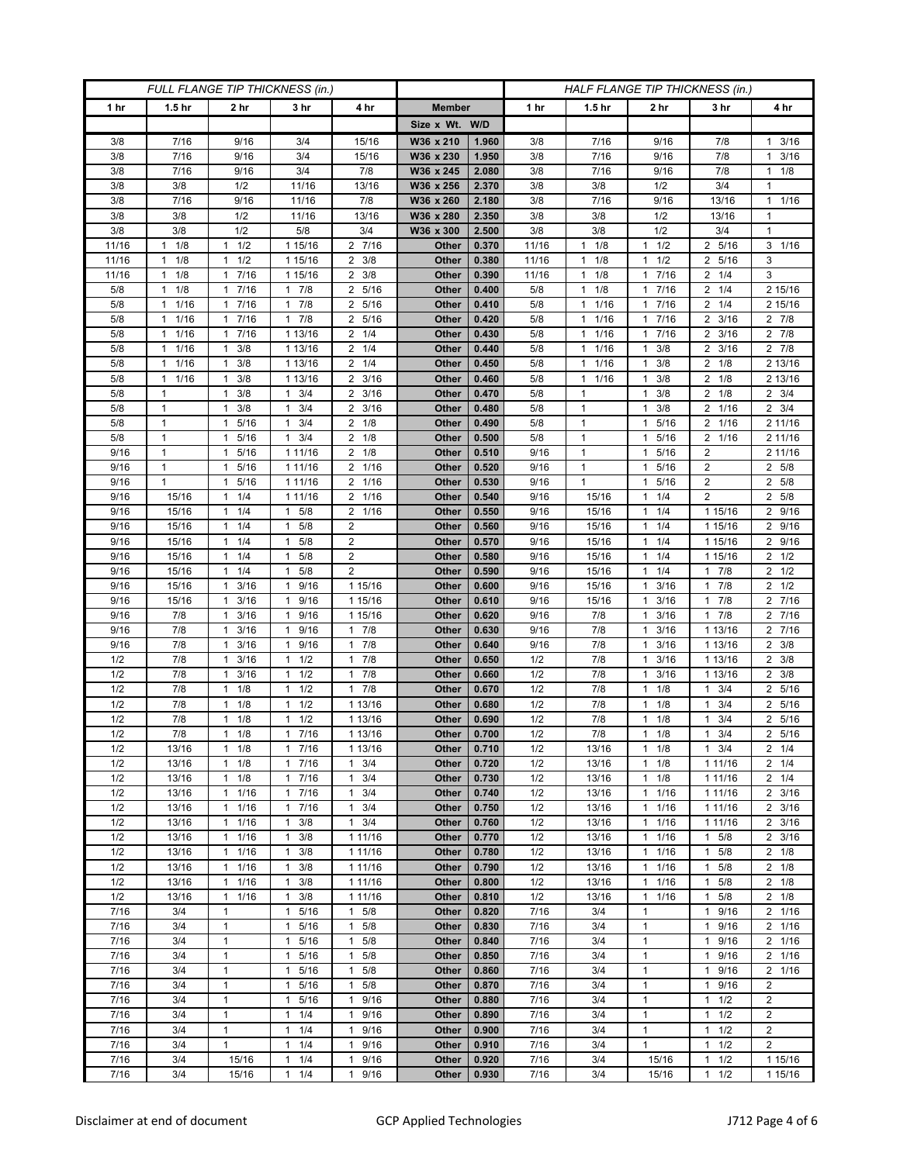| FULL FLANGE TIP THICKNESS (in.) |                                 |                                 |                                   |                                  |                       | HALF FLANGE TIP THICKNESS (in.) |                |                                            |                                            |                          |                        |  |
|---------------------------------|---------------------------------|---------------------------------|-----------------------------------|----------------------------------|-----------------------|---------------------------------|----------------|--------------------------------------------|--------------------------------------------|--------------------------|------------------------|--|
| 1 hr                            | 1.5 <sub>hr</sub>               | 2 <sub>hr</sub>                 | 3 <sub>hr</sub>                   | 4 hr                             | <b>Member</b>         |                                 | 1 hr           | 1.5 <sub>hr</sub>                          | 2 <sub>hr</sub>                            | 3 hr                     | 4 hr                   |  |
|                                 |                                 |                                 |                                   |                                  | Size x Wt. W/D        |                                 |                |                                            |                                            |                          |                        |  |
| 3/8                             | 7/16                            | 9/16                            | 3/4                               | 15/16                            | W36 x 210             | 1.960                           | 3/8            | 7/16                                       | 9/16                                       | 7/8                      | 3/16<br>$\mathbf{1}$   |  |
| 3/8                             | 7/16                            | 9/16                            | 3/4                               | 15/16                            | W36 x 230             | 1.950                           | 3/8            | 7/16                                       | 9/16                                       | 7/8                      | 3/16<br>$\mathbf{1}$   |  |
| 3/8                             | 7/16                            | 9/16                            | 3/4                               | 7/8                              | W36 x 245             | 2.080                           | 3/8            | 7/16                                       | 9/16                                       | 7/8                      | $1 \t1/8$              |  |
| 3/8                             | 3/8                             | 1/2                             | 11/16                             | 13/16                            | W36 x 256             | 2.370                           | 3/8            | 3/8                                        | 1/2                                        | 3/4                      | 1                      |  |
| 3/8                             | 7/16                            | 9/16                            | 11/16                             | 7/8                              | W36 x 260             | 2.180                           | 3/8            | 7/16                                       | 9/16                                       | 13/16                    | 11/16                  |  |
| 3/8                             | 3/8                             | 1/2                             | 11/16                             | 13/16                            | W36 x 280             | 2.350                           | 3/8            | 3/8                                        | 1/2                                        | 13/16                    | $\mathbf{1}$           |  |
| 3/8                             | 3/8                             | 1/2                             | 5/8                               | 3/4                              | W36 x 300             | 2.500                           | 3/8            | 3/8                                        | 1/2                                        | 3/4                      | 1                      |  |
| 11/16<br>11/16                  | 1/8<br>$\mathbf{1}$<br>1/8<br>1 | 1/2<br>1<br>1/2<br>1            | 1 15/16<br>1 15/16                | 2 7/16<br>$\overline{2}$<br>3/8  | Other<br>Other        | 0.370<br>0.380                  | 11/16<br>11/16 | 1/8<br>$\mathbf{1}$<br>$\mathbf{1}$<br>1/8 | 1/2<br>$\mathbf{1}$<br>1/2<br>$\mathbf{1}$ | 2 5/16<br>2 5/16         | $3 \t1/16$<br>3        |  |
| 11/16                           | 1/8<br>$\mathbf{1}$             | 7/16<br>$\mathbf{1}$            | 1 15/16                           | $2 \frac{3}{8}$                  | Other                 | 0.390                           | 11/16          | 1/8<br>1                                   | 7/16<br>$\mathbf{1}$                       | $2 \t1/4$                | 3                      |  |
| 5/8                             | 1/8<br>$\mathbf{1}$             | 7/16<br>$\mathbf{1}$            | $1 \t7/8$                         | 5/16<br>2                        | Other                 | 0.400                           | 5/8            | $1 \t1/8$                                  | 7/16<br>$\mathbf{1}$                       | 1/4<br>2                 | 2 15/16                |  |
| 5/8                             | 1/16<br>1                       | 7/16<br>$\mathbf{1}$            | 7/8<br>$\mathbf{1}$               | 5/16<br>2                        | Other                 | 0.410                           | 5/8            | $1 \t1/16$                                 | 7/16<br>$\mathbf{1}$                       | $2 \t1/4$                | 2 15/16                |  |
| 5/8                             | 1/16<br>1                       | 7/16<br>$\mathbf{1}$            | 17/8                              | 5/16<br>2                        | Other                 | 0.420                           | 5/8            | 1/16<br>1                                  | 7/16<br>1                                  | $2 \frac{3}{16}$         | 2 7/8                  |  |
| 5/8                             | 1/16<br>$\mathbf{1}$            | 17/16                           | 1 13/16                           | 1/4<br>2                         | Other                 | 0.430                           | 5/8            | 11/16                                      | 7/16<br>1                                  | $2 \frac{3}{16}$         | $2 \t 7/8$             |  |
| 5/8                             | 1/16<br>1                       | 3/8<br>1                        | 1 13/16                           | 1/4<br>2                         | Other                 | 0.440                           | 5/8            | 1/16<br>$\mathbf{1}$                       | 3/8<br>$\mathbf 1$                         | 2 3/16                   | $2 \t 7/8$             |  |
| 5/8                             | 1/16<br>$\mathbf{1}$            | 3/8<br>$\mathbf{1}$             | 1 13/16                           | $\overline{2}$<br>1/4            | Other                 | 0.450                           | 5/8            | 1/16<br>$\mathbf{1}$                       | 3/8<br>$\mathbf{1}$                        | $\overline{2}$<br>1/8    | 2 13/16                |  |
| 5/8                             | 1/16<br>$\mathbf{1}$            | 3/8<br>$\mathbf{1}$             | 1 13/16                           | 3/16<br>2                        | Other                 | 0.460                           | 5/8            | 1/16<br>$\mathbf{1}$                       | 3/8<br>$\mathbf{1}$                        | 1/8<br>2                 | 2 13/16                |  |
| 5/8                             | $\mathbf{1}$                    | $\mathbf{1}$<br>3/8             | $1 \t3/4$                         | $2 \frac{3}{16}$                 | Other                 | 0.470                           | 5/8            | $\mathbf{1}$                               | 3/8<br>$\mathbf{1}$                        | $2 \t1/8$                | $2 \frac{3}{4}$        |  |
| 5/8                             | 1                               | $1 \t3/8$                       | 3/4<br>1                          | 3/16<br>2                        | Other                 | 0.480                           | 5/8            | 1                                          | 3/8<br>$\mathbf{1}$                        | 2 1/16                   | $2 \frac{3}{4}$        |  |
| 5/8                             | $\mathbf{1}$                    | 5/16<br>1                       | 3/4<br>1                          | 1/8<br>2                         | Other                 | 0.490                           | 5/8            | $\mathbf{1}$                               | 5/16<br>$\mathbf{1}$                       | 1/16<br>2                | 2 11/16                |  |
| 5/8                             | $\mathbf{1}$                    | 1 5/16                          | $1 \t3/4$                         | $2 \t1/8$                        | Other                 | 0.500                           | 5/8            | $\mathbf{1}$                               | 5/16<br>$\mathbf{1}$                       | 2 1/16                   | 2 11/16                |  |
| 9/16                            | 1                               | 1 5/16                          | 1 11/16                           | $2 \t1/8$                        | Other                 | 0.510                           | 9/16           | 1                                          | 5/16<br>$\mathbf{1}$                       | 2                        | 2 11/16                |  |
| 9/16                            | 1                               | 5/16<br>1                       | 1 11/16                           | 2<br>1/16                        | Other                 | 0.520                           | 9/16           | $\mathbf{1}$                               | 5/16<br>$\mathbf{1}$                       | $\overline{2}$           | 2 5/8                  |  |
| 9/16                            | $\mathbf{1}$                    | 5/16<br>$\mathbf{1}$            | 1 11/16                           | 1/16<br>$\overline{2}$           | Other                 | 0.530                           | 9/16           | $\mathbf{1}$                               | 5/16<br>$\mathbf{1}$                       | $\overline{2}$           | 2 5/8                  |  |
| 9/16                            | 15/16                           | $1 \t1/4$                       | 1 11/16<br>1                      | 2<br>1/16                        | Other                 | 0.540                           | 9/16           | 15/16                                      | 1/4<br>$\mathbf{1}$                        | 2                        | 2 5/8                  |  |
| 9/16<br>9/16                    | 15/16<br>15/16                  | 1/4<br>1<br>1/4<br>$\mathbf{1}$ | 5/8<br>5/8<br>$\mathbf{1}$        | 1/16<br>2<br>$\overline{2}$      | Other<br><b>Other</b> | 0.550<br>0.560                  | 9/16<br>9/16   | 15/16<br>15/16                             | 1/4<br>$\mathbf{1}$<br>1/4<br>$\mathbf{1}$ | 1 15/16<br>1 15/16       | 2 9/16<br>2 9/16       |  |
| 9/16                            | 15/16                           | $1 \t1/4$                       | $\mathbf{1}$<br>5/8               | $\overline{\mathbf{c}}$          | Other                 | 0.570                           | 9/16           | 15/16                                      | 1/4<br>$\mathbf{1}$                        | 1 15/16                  | 2 9/16                 |  |
| 9/16                            | 15/16                           | 1/4<br>$\mathbf{1}$             | 5/8<br>1                          | $\overline{2}$                   | Other                 | 0.580                           | 9/16           | 15/16                                      | 1/4<br>$\mathbf{1}$                        | 1 15/16                  | $2 \frac{1}{2}$        |  |
| 9/16                            | 15/16                           | 1/4<br>1                        | 5/8<br>1                          | $\overline{2}$                   | Other                 | 0.590                           | 9/16           | 15/16                                      | 1/4<br>$\mathbf{1}$                        | 7/8<br>$\mathbf{1}$      | $2 \frac{1}{2}$        |  |
| 9/16                            | 15/16                           | 3/16<br>$\mathbf{1}$            | 9/16<br>$\mathbf{1}$              | 1 15/16                          | Other                 | 0.600                           | 9/16           | 15/16                                      | 3/16<br>$\mathbf{1}$                       | 17/8                     | $2 \frac{1}{2}$        |  |
| 9/16                            | 15/16                           | 3/16<br>$\mathbf{1}$            | 9/16<br>1                         | 1 15/16                          | Other                 | 0.610                           | 9/16           | 15/16                                      | 3/16<br>$\mathbf{1}$                       | 7/8<br>1                 | 2 7/16                 |  |
| 9/16                            | 7/8                             | 3/16<br>$\mathbf{1}$            | 9/16<br>$\mathbf{1}$              | 1 15/16                          | Other                 | 0.620                           | 9/16           | 7/8                                        | 3/16<br>$\mathbf{1}$                       | 7/8<br>$\mathbf{1}$      | 2 7/16                 |  |
| 9/16                            | 7/8                             | 3/16<br>1                       | $\mathbf{1}$<br>9/16              | 7/8<br>$\mathbf{1}$              | Other                 | 0.630                           | 9/16           | 7/8                                        | 3/16<br>$\mathbf{1}$                       | 1 13/16                  | 2 7/16                 |  |
| 9/16                            | 7/8                             | 3/16<br>$\mathbf{1}$            | 9/16<br>1                         | 7/8<br>1                         | Other                 | 0.640                           | 9/16           | 7/8                                        | 3/16<br>$\mathbf{1}$                       | 1 13/16                  | $2 \frac{3}{8}$        |  |
| 1/2                             | 7/8                             | 3/16<br>$\mathbf{1}$            | 1/2<br>1                          | 7/8<br>1                         | Other                 | 0.650                           | 1/2            | 7/8                                        | 3/16<br>$\mathbf{1}$                       | 1 13/16                  | $2 \frac{3}{8}$        |  |
| 1/2                             | 7/8                             | 3/16<br>1                       | 1/2<br>$\mathbf{1}$               | 7/8<br>1                         | Other                 | 0.660                           | 1/2            | 7/8                                        | 3/16<br>$\mathbf{1}$                       | 1 13/16                  | $2 \frac{3}{8}$        |  |
| 1/2                             | 7/8                             | 1/8<br>1                        | 1/2<br>1                          | 7/8<br>$\mathbf{1}$              | Other                 | 0.670                           | 1/2            | 7/8                                        | 1/8<br>$\mathbf{1}$                        | 3/4<br>1                 | 2 5/16                 |  |
| 1/2                             | 7/8                             | 1/8<br>$\mathbf{1}$             | 1/2<br>$\mathbf{1}$               | 1 13/16                          | Other                 | 0.680                           | 1/2            | 7/8                                        | 1/8<br>$\mathbf{1}$                        | 3/4<br>1                 | 2 5/16                 |  |
| 1/2                             | 7/8                             | 1/8<br>1                        | 1/2<br>1                          | 1 13/16                          | Other                 | 0.690                           | 1/2            | 7/8                                        | 1/8<br>$\mathbf{1}$                        | 3/4                      | 2 5/16                 |  |
| 1/2                             | 7/8                             | 1/8<br>$\mathbf{1}$             | 7/16<br>$\mathbf{1}$              | 1 13/16                          | Other                 | 0.700                           | 1/2            | 7/8                                        | 1/8<br>$\mathbf{1}$                        | 3/4<br>$\mathbf{1}$      | 2 5/16                 |  |
| 1/2<br>1/2                      | 13/16<br>13/16                  | $1 \t1/8$<br>$1 \t1/8$          | 17/16<br>17/16                    | 1 13/16<br>3/4<br>$\mathbf{1}$   | Other<br>Other        | 0.710<br>0.720                  | 1/2<br>1/2     | 13/16<br>13/16                             | 1/8<br>$\mathbf{1}$<br>1/8<br>$\mathbf{1}$ | $1 \t3/4$<br>1 1 1 / 1 6 | $2 \t1/4$<br>$2 \t1/4$ |  |
| 1/2                             | 13/16                           | $1 \t1/8$                       | 17/16                             | 3/4<br>$\mathbf{1}$              | Other                 | 0.730                           | 1/2            | 13/16                                      | 1/8<br>$\mathbf{1}$                        | 1 11/16                  | $2 \t1/4$              |  |
| 1/2                             | 13/16                           | 1/16<br>$\mathbf{1}$            | 7/16<br>$\mathbf{1}$              | 3/4<br>1                         | Other                 | 0.740                           | 1/2            | 13/16                                      | 1/16<br>$\mathbf{1}$                       | 1 1 1 / 1 6              | $2 \frac{3}{16}$       |  |
| 1/2                             | 13/16                           | 1/16<br>$\mathbf{1}$            | 17/16                             | $\mathbf{1}$<br>3/4              | Other                 | 0.750                           | 1/2            | 13/16                                      | $\mathbf{1}$<br>1/16                       | 1 11/16                  | $2 \frac{3}{16}$       |  |
| 1/2                             | 13/16                           | $1 \t1/16$                      | $1 \t3/8$                         | 3/4<br>$\mathbf{1}$              | Other                 | 0.760                           | 1/2            | 13/16                                      | 1/16<br>1                                  | 1 11/16                  | $2 \frac{3}{16}$       |  |
| 1/2                             | 13/16                           | 1/16<br>$\mathbf{1}$            | 3/8<br>1                          | 1 11/16                          | Other                 | 0.770                           | 1/2            | 13/16                                      | 1/16<br>$\mathbf{1}$                       | 5/8<br>1                 | $2 \frac{3}{16}$       |  |
| 1/2                             | 13/16                           | 11/16                           | $1 \t3/8$                         | 1 11/16                          | Other                 | 0.780                           | 1/2            | 13/16                                      | 1/16<br>$\mathbf{1}$                       | 5/8<br>$\mathbf{1}$      | $2 \t1/8$              |  |
| 1/2                             | 13/16                           | $1 \t1/16$                      | $1 \t3/8$                         | 1 11/16                          | Other                 | 0.790                           | 1/2            | 13/16                                      | 1/16<br>$\mathbf{1}$                       | $1 \t5/8$                | $2 \t1/8$              |  |
| 1/2                             | 13/16                           | $1 \t1/16$                      | 3/8<br>$\mathbf{1}$               | 1 11/16                          | Other                 | 0.800                           | 1/2            | 13/16                                      | 1/16<br>$\mathbf{1}$                       | 5/8<br>1                 | $2 \t1/8$              |  |
| 1/2                             | 13/16                           | 1/16<br>$\mathbf{1}$            | $1 \t3/8$                         | 1 11/16                          | Other                 | 0.810                           | 1/2            | 13/16                                      | 1/16<br>$\mathbf{1}$                       | 5/8<br>$\mathbf{1}$      | $2 \t1/8$              |  |
| 7/16                            | 3/4                             | 1                               | 1 5/16                            | 5/8<br>$\mathbf{1}$              | Other                 | 0.820                           | 7/16           | 3/4                                        | $\mathbf{1}$                               | 9/16<br>$\mathbf{1}$     | 2 1/16                 |  |
| 7/16                            | 3/4                             | 1                               | 5/16<br>1                         | 5/8<br>1                         | Other                 | 0.830                           | 7/16           | 3/4                                        | $\mathbf{1}$                               | 9/16<br>1                | 2 1/16                 |  |
| 7/16                            | 3/4                             | $\mathbf{1}$                    | 1<br>5/16                         | $\mathbf{1}$<br>5/8              | Other                 | 0.840                           | 7/16           | 3/4                                        | $\mathbf{1}$                               | 9/16<br>1                | 2 1/16                 |  |
| 7/16                            | 3/4                             | $\mathbf{1}$                    | $\mathbf{1}$<br>5/16              | 5/8<br>$\mathbf{1}$              | <b>Other</b>          | 0.850                           | 7/16           | 3/4                                        | $\mathbf{1}$                               | 1 9/16                   | 2 1/16                 |  |
| 7/16                            | 3/4                             | 1<br>$\mathbf{1}$               | 5/16<br>1                         | 5/8<br>1                         | Other                 | 0.860<br>0.870                  | 7/16           | 3/4                                        | $\mathbf{1}$<br>$\mathbf{1}$               | 9/16<br>$\mathbf{1}$     | 2 1/16                 |  |
| 7/16<br>7/16                    | 3/4<br>3/4                      | $\mathbf{1}$                    | 5/16<br>1<br>$\mathbf{1}$<br>5/16 | 5/8<br>1<br>9/16<br>$\mathbf{1}$ | Other<br>Other        | 0.880                           | 7/16<br>7/16   | 3/4<br>3/4                                 | $\mathbf{1}$                               | 9/16<br>1<br>$1 \t1/2$   | 2<br>$\overline{2}$    |  |
| 7/16                            | 3/4                             | 1                               | $1 \t1/4$                         | 9/16<br>1                        | Other                 | 0.890                           | 7/16           | 3/4                                        | $\mathbf{1}$                               | 1/2<br>$\mathbf{1}$      | $\overline{2}$         |  |
| 7/16                            | 3/4                             | $\mathbf{1}$                    | 1/4<br>$\mathbf{1}$               | 9/16<br>$\mathbf{1}$             | Other                 | 0.900                           | 7/16           | 3/4                                        | $\mathbf{1}$                               | 1/2<br>$\mathbf{1}$      | $\overline{c}$         |  |
| 7/16                            | 3/4                             | $\mathbf{1}$                    | $\mathbf{1}$<br>1/4               | 9/16<br>$\mathbf{1}$             | Other                 | 0.910                           | 7/16           | 3/4                                        | $\mathbf{1}$                               | 1/2<br>1                 | $\overline{2}$         |  |
| 7/16                            | 3/4                             | 15/16                           | $1 \t1/4$                         | 9/16<br>1                        | Other                 | 0.920                           | 7/16           | 3/4                                        | 15/16                                      | 1/2<br>1                 | 1 15/16                |  |
| 7/16                            | 3/4                             | 15/16                           | $1 \t1/4$                         | 9/16<br>$\mathbf{1}$             | Other                 | 0.930                           | 7/16           | 3/4                                        | 15/16                                      | 1/2<br>$\mathbf{1}$      | 1 15/16                |  |
|                                 |                                 |                                 |                                   |                                  |                       |                                 |                |                                            |                                            |                          |                        |  |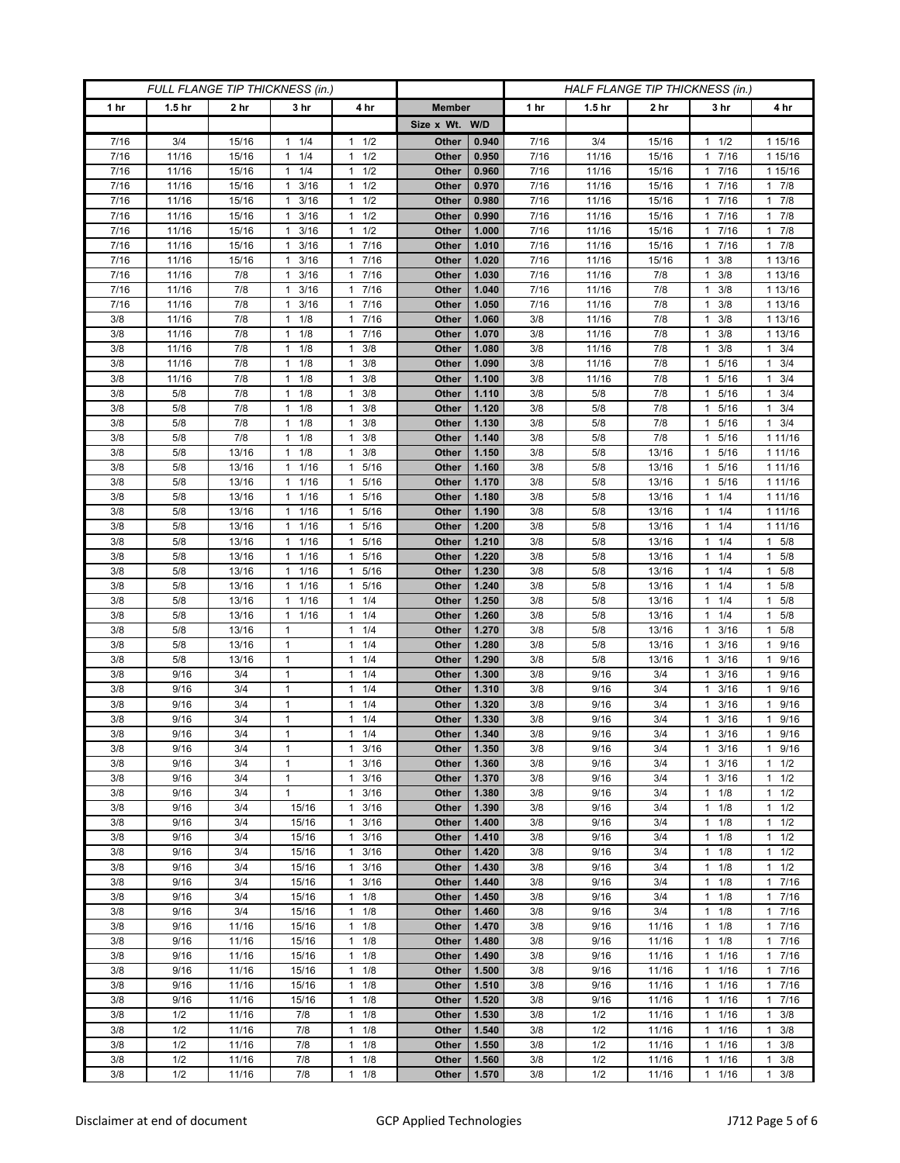| FULL FLANGE TIP THICKNESS (in.) |                   |                |                        |                                                | HALF FLANGE TIP THICKNESS (in.) |                |              |                   |                |                        |                            |
|---------------------------------|-------------------|----------------|------------------------|------------------------------------------------|---------------------------------|----------------|--------------|-------------------|----------------|------------------------|----------------------------|
| 1 hr                            | 1.5 <sub>hr</sub> | 2 hr           | 3 <sub>hr</sub>        | 4 hr                                           | <b>Member</b>                   |                | 1 hr         | 1.5 <sub>hr</sub> | 2 hr           | 3 hr                   | 4 hr                       |
|                                 |                   |                |                        |                                                | Size x Wt. W/D                  |                |              |                   |                |                        |                            |
| 7/16                            | 3/4               | 15/16          | 1/4<br>1               | 1/2<br>1                                       | Other                           | 0.940          | 7/16         | 3/4               | 15/16          | 1/2<br>1               | 1 15/16                    |
| 7/16                            | 11/16             | 15/16          | 1/4<br>$\mathbf{1}$    | 1/2<br>$\mathbf{1}$                            | Other                           | 0.950          | 7/16         | 11/16             | 15/16          | 7/16<br>1              | 1 15/16                    |
| 7/16                            | 11/16             | 15/16          | $1 \t1/4$              | 1/2<br>$\mathbf{1}$                            | Other                           | 0.960          | 7/16         | 11/16             | 15/16          | 1 7/16                 | 1 15/16                    |
| 7/16                            | 11/16             | 15/16          | 3/16<br>1              | 1/2<br>$\mathbf{1}$                            | Other                           | 0.970          | 7/16         | 11/16             | 15/16          | 7/16<br>1              | 17/8                       |
| 7/16                            | 11/16             | 15/16          | 3/16<br>1              | 1/2<br>$\mathbf{1}$                            | Other                           | 0.980          | 7/16         | 11/16             | 15/16          | 7/16<br>1              | 17/8                       |
| 7/16                            | 11/16             | 15/16          | 3/16<br>$\mathbf{1}$   | 1/2<br>$\mathbf{1}$                            | Other                           | 0.990          | 7/16         | 11/16             | 15/16          | 1 7/16                 | 17/8                       |
| 7/16                            | 11/16             | 15/16          | 3/16<br>1              | 1/2<br>$\mathbf{1}$                            | Other                           | 1.000          | 7/16         | 11/16             | 15/16          | 7/16<br>1              | $1 \t7/8$                  |
| 7/16                            | 11/16             | 15/16          | 3/16<br>1              | 7/16<br>$\mathbf{1}$                           | Other                           | 1.010          | 7/16         | 11/16             | 15/16          | 7/16<br>1              | $1 \t7/8$                  |
| 7/16                            | 11/16             | 15/16          | 3/16<br>1              | 7/16<br>$\mathbf{1}$                           | Other                           | 1.020          | 7/16         | 11/16             | 15/16          | 3/8                    | 1 13/16                    |
| 7/16                            | 11/16             | 7/8            | 3/16<br>1              | 7/16<br>$\mathbf{1}$                           | Other                           | 1.030          | 7/16         | 11/16             | 7/8            | 3/8<br>1               | 1 13/16                    |
| 7/16<br>7/16                    | 11/16<br>11/16    | 7/8<br>7/8     | 3/16<br>1<br>3/16<br>1 | 7/16<br>$\mathbf{1}$<br>7/16<br>$\mathbf{1}$   | Other<br>Other                  | 1.040<br>1.050 | 7/16<br>7/16 | 11/16<br>11/16    | 7/8<br>7/8     | 3/8<br>1<br>3/8        | 1 13/16<br>1 13/16         |
| 3/8                             | 11/16             | 7/8            | 1/8<br>1               | 7/16<br>$\mathbf{1}$                           | Other                           | 1.060          | 3/8          | 11/16             | 7/8            | 3/8<br>1               | 1 13/16                    |
| 3/8                             | 11/16             | 7/8            | 1/8<br>$\mathbf{1}$    | 7/16<br>$\mathbf{1}$                           | Other                           | 1.070          | 3/8          | 11/16             | 7/8            | 3/8<br>1               | 1 13/16                    |
| 3/8                             | 11/16             | 7/8            | 1/8<br>1               | 3/8<br>1                                       | Other                           | 1.080          | 3/8          | 11/16             | 7/8            | 3/8                    | $1 \t3/4$                  |
| 3/8                             | 11/16             | 7/8            | 1/8<br>1               | 3/8<br>$\mathbf{1}$                            | Other                           | 1.090          | 3/8          | 11/16             | 7/8            | 5/16<br>1              | $1 \t3/4$                  |
| 3/8                             | 11/16             | 7/8            | 1/8<br>$\mathbf{1}$    | 3/8<br>$\mathbf{1}$                            | Other                           | 1.100          | 3/8          | 11/16             | 7/8            | 5/16<br>1              | $1 \t3/4$                  |
| 3/8                             | 5/8               | 7/8            | 1/8<br>$\mathbf{1}$    | 3/8<br>$\mathbf{1}$                            | Other                           | 1.110          | 3/8          | 5/8               | 7/8            | 5/16<br>1              | $1 \t3/4$                  |
| 3/8                             | 5/8               | 7/8            | 1/8<br>1               | 3/8<br>1                                       | Other                           | 1.120          | 3/8          | 5/8               | 7/8            | 5/16<br>1              | $1 \t3/4$                  |
| 3/8                             | 5/8               | 7/8            | 1/8<br>1               | 3/8<br>1                                       | Other                           | 1.130          | 3/8          | 5/8               | 7/8            | 5/16<br>1              | $1 \t3/4$                  |
| 3/8                             | 5/8               | 7/8            | 1/8<br>$\mathbf{1}$    | 3/8<br>$\mathbf{1}$                            | Other                           | 1.140          | 3/8          | 5/8               | 7/8            | 5/16<br>1              | 1 11/16                    |
| 3/8                             | 5/8               | 13/16          | $1 \t1/8$              | 3/8<br>1                                       | Other                           | 1.150          | 3/8          | 5/8               | 13/16          | 5/16<br>1              | 1 11/16                    |
| 3/8                             | 5/8               | 13/16          | 1/16<br>1              | 5/16<br>1                                      | Other                           | 1.160          | 3/8          | 5/8               | 13/16          | 5/16                   | 1 11/16                    |
| 3/8                             | 5/8               | 13/16          | 1/16<br>$\mathbf{1}$   | $5/16$<br>$\mathbf{1}$                         | Other                           | 1.170          | 3/8          | 5/8               | 13/16          | 5/16<br>1              | 1 11/16                    |
| 3/8                             | 5/8               | 13/16          | $1 \t1/16$             | 5/16<br>1                                      | Other                           | 1.180          | 3/8          | 5/8               | 13/16          | $1 \t1/4$              | 1 11/16                    |
| 3/8                             | 5/8               | 13/16          | 1/16<br>1              | 5/16<br>1                                      | Other                           | 1.190          | 3/8          | 5/8               | 13/16          | 1/4<br>1               | 1 11/16                    |
| 3/8                             | 5/8               | 13/16          | 1/16<br>$\mathbf{1}$   | 5/16<br>$\mathbf{1}$                           | Other                           | 1.200          | 3/8          | 5/8               | 13/16          | 1/4<br>1               | 1 11/16                    |
| 3/8                             | 5/8               | 13/16          | 11/16                  | 5/16<br>1                                      | Other                           | 1.210          | 3/8          | 5/8               | 13/16          | 1/4<br>1               | 1 5/8                      |
| 3/8<br>3/8                      | 5/8<br>5/8        | 13/16<br>13/16 | 1/16<br>1<br>1/16<br>1 | 5/16<br>1<br>5/16<br>1                         | Other<br>Other                  | 1.220<br>1.230 | 3/8<br>3/8   | 5/8<br>5/8        | 13/16<br>13/16 | 1/4<br>1<br>1/4<br>1   | 1 5/8<br>1 5/8             |
| 3/8                             | 5/8               | 13/16          | 11/16                  | 5/16<br>1                                      | Other                           | 1.240          | 3/8          | 5/8               | 13/16          | 1/4<br>1               | 1 5/8                      |
| 3/8                             | 5/8               | 13/16          | 1/16<br>1              | 1/4<br>1                                       | Other                           | 1.250          | 3/8          | 5/8               | 13/16          | 1/4<br>1               | $1 \t5/8$                  |
| 3/8                             | 5/8               | 13/16          | 1/16<br>1              | 1/4<br>1                                       | Other                           | 1.260          | 3/8          | 5/8               | 13/16          | 1/4<br>1               | 1 5/8                      |
| 3/8                             | 5/8               | 13/16          | $\mathbf{1}$           | 1/4<br>1                                       | Other                           | 1.270          | 3/8          | 5/8               | 13/16          | 3/16                   | 5/8<br>$\mathbf{1}$        |
| 3/8                             | 5/8               | 13/16          | $\mathbf{1}$           | 1/4<br>$\mathbf{1}$                            | Other                           | 1.280          | 3/8          | 5/8               | 13/16          | 3/16<br>1              | 1 9/16                     |
| 3/8                             | 5/8               | 13/16          | $\mathbf{1}$           | 1/4<br>1                                       | Other                           | 1.290          | 3/8          | 5/8               | 13/16          | 3/16<br>1              | 1 9/16                     |
| 3/8                             | 9/16              | 3/4            | 1                      | 1/4<br>$\mathbf{1}$                            | Other                           | 1.300          | 3/8          | 9/16              | 3/4            | 3/16                   | 9/16<br>$\mathbf{1}$       |
| 3/8                             | 9/16              | 3/4            | $\mathbf{1}$           | 1/4<br>$\mathbf{1}$                            | Other                           | 1.310          | 3/8          | 9/16              | 3/4            | 3/16<br>1              | 9/16<br>1                  |
| 3/8                             | 9/16              | 3/4            | $\mathbf{1}$           | 1/4<br>$\mathbf{1}$                            | Other                           | 1.320          | 3/8          | 9/16              | 3/4            | 3/16<br>1              | 1 9/16                     |
| 3/8                             | 9/16              | 3/4            | 1                      | 1/4<br>1                                       | Other                           | 1.330          | 3/8          | 9/16              | 3/4            | 3/16                   | 9/16<br>$\mathbf{1}$       |
| 3/8                             | 9/16              | 3/4            | $\mathbf{1}$           | 1/4<br>$\mathbf{1}$                            | Other                           | 1.340          | 3/8          | 9/16              | 3/4            | 3/16<br>$\mathbf{1}$   | 9/16<br>$\mathbf{1}$       |
| 3/8                             | 9/16              | 3/4            | 1                      | $\mathbf{1}$<br>3/16                           | Other                           | 1.350          | 3/8          | 9/16              | 3/4            | 3/16<br>$\mathbf{1}$   | 1 9/16                     |
| 3/8                             | 9/16              | 3/4            | 1                      | $\mathbf{1}$<br>3/16                           | Other                           | 1.360          | 3/8          | 9/16              | 3/4            | 3/16<br>1              | $1 \t1/2$                  |
| 3/8                             | 9/16              | 3/4            | 1<br>$\mathbf{1}$      | 3/16<br>$\mathbf{1}$                           | Other                           | 1.370          | 3/8          | 9/16              | 3/4            | 3/16<br>1<br>1         | $1 \t1/2$<br>$1 \t1/2$     |
| 3/8<br>3/8                      | 9/16<br>9/16      | 3/4<br>3/4     | 15/16                  | 3/16<br>$\mathbf{1}$<br>$3/16$<br>$\mathbf{1}$ | Other<br>Other                  | 1.380<br>1.390 | 3/8<br>3/8   | 9/16<br>9/16      | 3/4<br>3/4     | 1/8<br>1/8<br>1        | $1 \t1/2$                  |
| 3/8                             | 9/16              | 3/4            | 15/16                  | 3/16<br>$\mathbf{1}$                           | Other                           | 1.400          | 3/8          | 9/16              | 3/4            | $1 \t1/8$              | $1 \t1/2$                  |
| 3/8                             | 9/16              | 3/4            | 15/16                  | 3/16<br>1                                      | Other                           | 1.410          | 3/8          | 9/16              | 3/4            | 1/8                    | $1 \t1/2$                  |
| 3/8                             | 9/16              | 3/4            | 15/16                  | 3/16<br>$\mathbf{1}$                           | Other                           | 1.420          | 3/8          | 9/16              | 3/4            | 1/8<br>1               | $1 \t1/2$                  |
| 3/8                             | 9/16              | 3/4            | 15/16                  | 3/16<br>$\mathbf{1}$                           | Other                           | 1.430          | 3/8          | 9/16              | 3/4            | $1 \t1/8$              | $1 \t1/2$                  |
| 3/8                             | 9/16              | 3/4            | 15/16                  | 3/16<br>$\mathbf{1}$                           | Other                           | 1.440          | 3/8          | 9/16              | 3/4            | 1/8<br>1               | 17/16                      |
| 3/8                             | 9/16              | 3/4            | 15/16                  | $\mathbf{1}$<br>1/8                            | Other                           | 1.450          | 3/8          | 9/16              | 3/4            | 1/8<br>$\mathbf{1}$    | 17/16                      |
| 3/8                             | 9/16              | 3/4            | 15/16                  | 1/8<br>$\mathbf{1}$                            | Other                           | 1.460          | 3/8          | 9/16              | 3/4            | 1/8<br>$\mathbf{1}$    | 17/16                      |
| 3/8                             | 9/16              | 11/16          | 15/16                  | 1/8<br>1                                       | Other                           | 1.470          | 3/8          | 9/16              | 11/16          | 1/8<br>1               | 17/16                      |
| 3/8                             | 9/16              | 11/16          | 15/16                  | $\mathbf{1}$<br>1/8                            | Other                           | 1.480          | 3/8          | 9/16              | 11/16          | 1/8<br>1               | 17/16                      |
| 3/8                             | 9/16              | 11/16          | 15/16                  | $\mathbf{1}$<br>1/8                            | Other                           | 1.490          | 3/8          | 9/16              | 11/16          | 1/16<br>$\mathbf{1}$   | 17/16                      |
| 3/8                             | 9/16              | 11/16          | 15/16                  | 1/8<br>$\mathbf{1}$                            | Other                           | 1.500          | 3/8          | 9/16              | 11/16          | 1/16<br>1              | 17/16                      |
| 3/8                             | 9/16              | 11/16          | 15/16                  | 1/8<br>$\mathbf{1}$                            | Other                           | 1.510          | 3/8          | 9/16              | 11/16          | 1/16<br>$\mathbf{1}$   | 17/16                      |
| 3/8                             | 9/16              | 11/16          | 15/16                  | $\mathbf{1}$<br>1/8                            | Other                           | 1.520          | 3/8          | 9/16              | 11/16          | 1/16<br>$\mathbf{1}$   | 17/16                      |
| 3/8                             | 1/2               | 11/16          | 7/8                    | 1/8<br>$\mathbf{1}$                            | Other                           | 1.530          | 3/8          | 1/2               | 11/16          | $1/16$<br>1            | $1 \t3/8$                  |
| 3/8                             | 1/2               | 11/16          | 7/8                    | 1/8<br>$\mathbf{1}$                            | Other                           | 1.540          | 3/8          | 1/2               | 11/16          | $1 \t1/16$<br>1        | $1 \t3/8$<br>$\mathbf{1}$  |
| 3/8<br>3/8                      | 1/2<br>1/2        | 11/16<br>11/16 | 7/8<br>7/8             | 1/8<br>1<br>1/8<br>$\mathbf{1}$                | Other<br>Other                  | 1.550<br>1.560 | 3/8<br>3/8   | 1/2<br>1/2        | 11/16<br>11/16 | $1/16$<br>$1/16$<br>1. | 3/8<br>3/8<br>$\mathbf{1}$ |
| 3/8                             | 1/2               | 11/16          | 7/8                    | $\mathbf{1}$                                   | Other                           | 1.570          |              | 1/2               |                | $\mathbf{1}$           | $1 \t3/8$                  |
|                                 |                   |                |                        | 1/8                                            |                                 |                | 3/8          |                   | 11/16          | 1/16                   |                            |